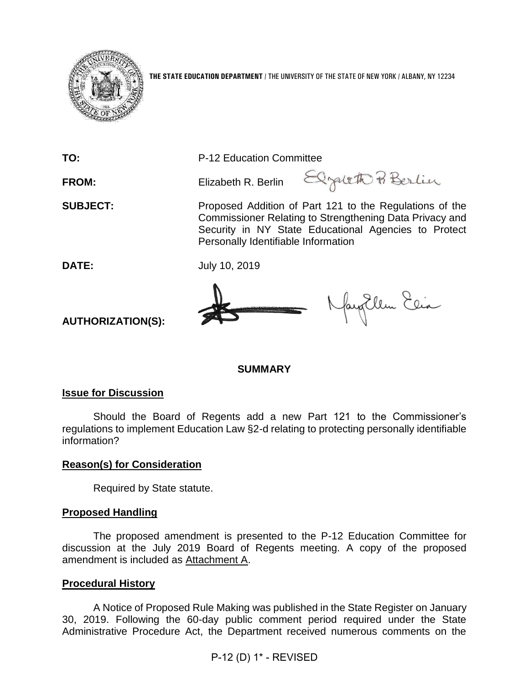

**THE STATE EDUCATION DEPARTMENT** / THE UNIVERSITY OF THE STATE OF NEW YORK / ALBANY, NY 12234

**TO:** P-12 Education Committee

FROM: Elizabeth R. Berlin Elizabeth R Berlin

**SUBJECT:** Proposed Addition of Part 121 to the Regulations of the Commissioner Relating to Strengthening Data Privacy and Security in NY State Educational Agencies to Protect Personally Identifiable Information

**DATE:** July 10, 2019



Naughlem Elia

**AUTHORIZATION(S):**

**SUMMARY**

## **Issue for Discussion**

Should the Board of Regents add a new Part 121 to the Commissioner's regulations to implement Education Law §2-d relating to protecting personally identifiable information?

## **Reason(s) for Consideration**

Required by State statute.

## **Proposed Handling**

The proposed amendment is presented to the P-12 Education Committee for discussion at the July 2019 Board of Regents meeting. A copy of the proposed amendment is included as Attachment A.

## **Procedural History**

A Notice of Proposed Rule Making was published in the State Register on January 30, 2019. Following the 60-day public comment period required under the State Administrative Procedure Act, the Department received numerous comments on the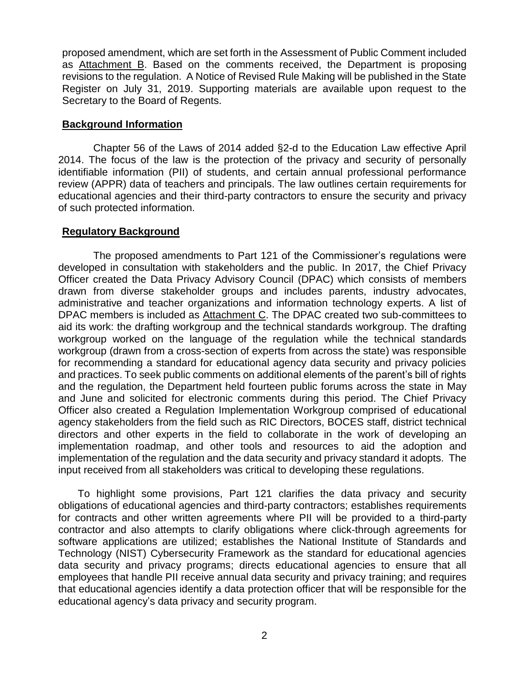proposed amendment, which are set forth in the Assessment of Public Comment included as Attachment B. Based on the comments received, the Department is proposing revisions to the regulation. A Notice of Revised Rule Making will be published in the State Register on July 31, 2019. Supporting materials are available upon request to the Secretary to the Board of Regents.

### **Background Information**

Chapter 56 of the Laws of 2014 added §2-d to the Education Law effective April 2014. The focus of the law is the protection of the privacy and security of personally identifiable information (PII) of students, and certain annual professional performance review (APPR) data of teachers and principals. The law outlines certain requirements for educational agencies and their third-party contractors to ensure the security and privacy of such protected information.

## **Regulatory Background**

The proposed amendments to Part 121 of the Commissioner's regulations were developed in consultation with stakeholders and the public. In 2017, the Chief Privacy Officer created the Data Privacy Advisory Council (DPAC) which consists of members drawn from diverse stakeholder groups and includes parents, industry advocates, administrative and teacher organizations and information technology experts. A list of DPAC members is included as Attachment C. The DPAC created two sub-committees to aid its work: the drafting workgroup and the technical standards workgroup. The drafting workgroup worked on the language of the regulation while the technical standards workgroup (drawn from a cross-section of experts from across the state) was responsible for recommending a standard for educational agency data security and privacy policies and practices. To seek public comments on additional elements of the parent's bill of rights and the regulation, the Department held fourteen public forums across the state in May and June and solicited for electronic comments during this period. The Chief Privacy Officer also created a Regulation Implementation Workgroup comprised of educational agency stakeholders from the field such as RIC Directors, BOCES staff, district technical directors and other experts in the field to collaborate in the work of developing an implementation roadmap, and other tools and resources to aid the adoption and implementation of the regulation and the data security and privacy standard it adopts. The input received from all stakeholders was critical to developing these regulations.

To highlight some provisions, Part 121 clarifies the data privacy and security obligations of educational agencies and third-party contractors; establishes requirements for contracts and other written agreements where PII will be provided to a third-party contractor and also attempts to clarify obligations where click-through agreements for software applications are utilized; establishes the National Institute of Standards and Technology (NIST) Cybersecurity Framework as the standard for educational agencies data security and privacy programs; directs educational agencies to ensure that all employees that handle PII receive annual data security and privacy training; and requires that educational agencies identify a data protection officer that will be responsible for the educational agency's data privacy and security program.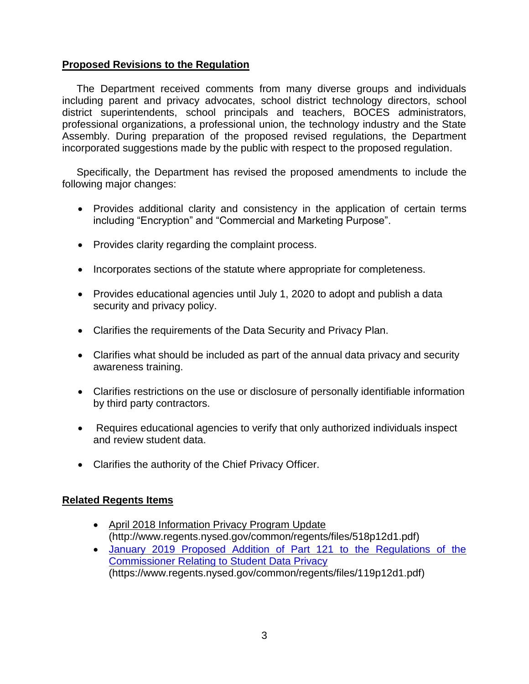## **Proposed Revisions to the Regulation**

 The Department received comments from many diverse groups and individuals including parent and privacy advocates, school district technology directors, school district superintendents, school principals and teachers, BOCES administrators, professional organizations, a professional union, the technology industry and the State Assembly. During preparation of the proposed revised regulations, the Department incorporated suggestions made by the public with respect to the proposed regulation.

 Specifically, the Department has revised the proposed amendments to include the following major changes:

- Provides additional clarity and consistency in the application of certain terms including "Encryption" and "Commercial and Marketing Purpose".
- Provides clarity regarding the complaint process.
- Incorporates sections of the statute where appropriate for completeness.
- Provides educational agencies until July 1, 2020 to adopt and publish a data security and privacy policy.
- Clarifies the requirements of the Data Security and Privacy Plan.
- Clarifies what should be included as part of the annual data privacy and security awareness training.
- Clarifies restrictions on the use or disclosure of personally identifiable information by third party contractors.
- Requires educational agencies to verify that only authorized individuals inspect and review student data.
- Clarifies the authority of the Chief Privacy Officer.

## **Related Regents Items**

- [April 2018 Information Privacy Program Update](http://www.regents.nysed.gov/common/regents/files/518p12d1.pdf)  (http://www.regents.nysed.gov/common/regents/files/518p12d1.pdf)
- [January 2019 Proposed Addition of Part 121 to the Regulations of the](https://www.regents.nysed.gov/common/regents/files/119p12d1.pdf)  [Commissioner Relating to Student Data Privacy](https://www.regents.nysed.gov/common/regents/files/119p12d1.pdf) (https://www.regents.nysed.gov/common/regents/files/119p12d1.pdf)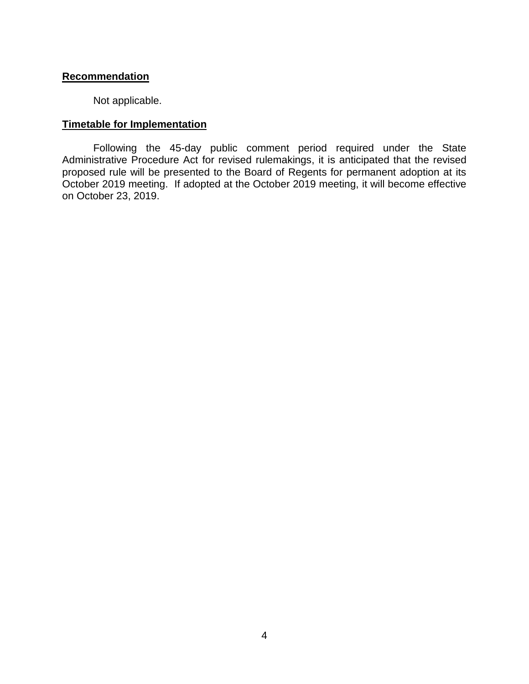### **Recommendation**

Not applicable.

## **Timetable for Implementation**

Following the 45-day public comment period required under the State Administrative Procedure Act for revised rulemakings, it is anticipated that the revised proposed rule will be presented to the Board of Regents for permanent adoption at its October 2019 meeting. If adopted at the October 2019 meeting, it will become effective on October 23, 2019.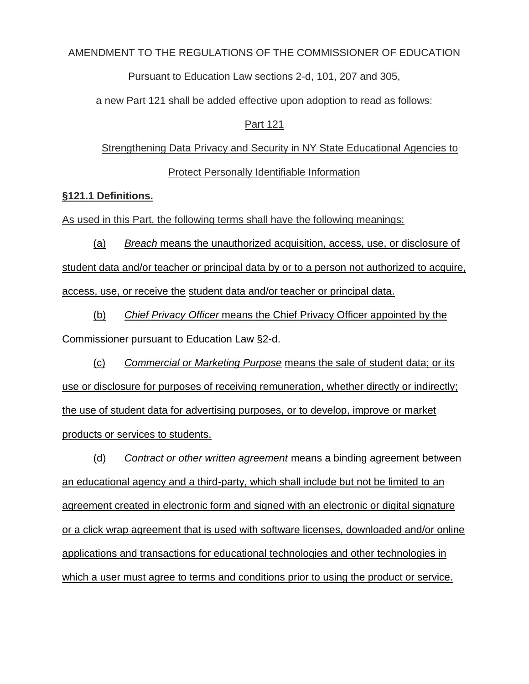### AMENDMENT TO THE REGULATIONS OF THE COMMISSIONER OF EDUCATION

Pursuant to Education Law sections 2-d, 101, 207 and 305,

a new Part 121 shall be added effective upon adoption to read as follows:

### Part 121

# Strengthening Data Privacy and Security in NY State Educational Agencies to

## Protect Personally Identifiable Information

### **§121.1 Definitions.**

As used in this Part, the following terms shall have the following meanings:

(a) *Breach* means the unauthorized acquisition, access, use, or disclosure of student data and/or teacher or principal data by or to a person not authorized to acquire, access, use, or receive the student data and/or teacher or principal data.

(b) *Chief Privacy Officer* means the Chief Privacy Officer appointed by the Commissioner pursuant to Education Law §2-d.

(c) *Commercial or Marketing Purpose* means the sale of student data; or its use or disclosure for purposes of receiving remuneration, whether directly or indirectly; the use of student data for advertising purposes, or to develop, improve or market products or services to students.

(d) *Contract or other written agreement* means a binding agreement between an educational agency and a third-party, which shall include but not be limited to an agreement created in electronic form and signed with an electronic or digital signature or a click wrap agreement that is used with software licenses, downloaded and/or online applications and transactions for educational technologies and other technologies in which a user must agree to terms and conditions prior to using the product or service.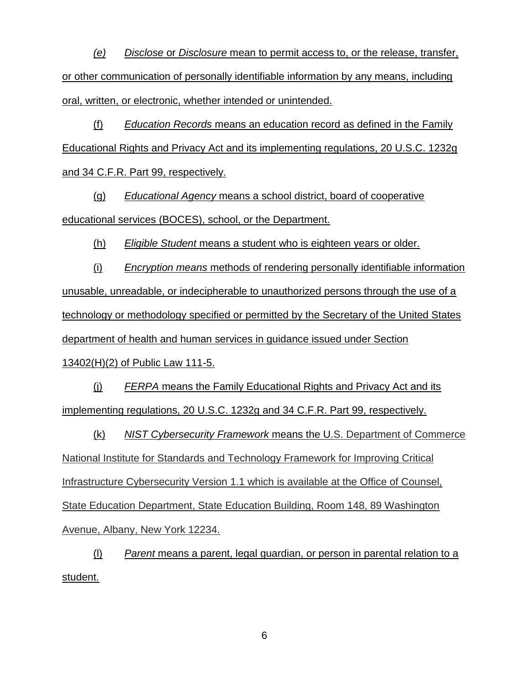*(e) Disclose* or *Disclosure* mean to permit access to, or the release, transfer, or other communication of personally identifiable information by any means, including oral, written, or electronic, whether intended or unintended.

(f) *Education Records* means an education record as defined in the Family Educational Rights and Privacy Act and its implementing regulations, 20 U.S.C. 1232g and 34 C.F.R. Part 99, respectively.

(g) *Educational Agency* means a school district, board of cooperative educational services (BOCES), school, or the Department.

(h) *Eligible Student* means a student who is eighteen years or older.

(i) *Encryption means* methods of rendering personally identifiable information unusable, unreadable, or indecipherable to unauthorized persons through the use of a technology or methodology specified or permitted by the Secretary of the United States department of health and human services in guidance issued under Section 13402(H)(2) of Public Law 111-5.

(j) *FERPA* means the Family Educational Rights and Privacy Act and its implementing regulations, 20 U.S.C. 1232g and 34 C.F.R. Part 99, respectively.

(k) *NIST Cybersecurity Framework* means the U.S. Department of Commerce National Institute for Standards and Technology Framework for Improving Critical Infrastructure Cybersecurity Version 1.1 which is available at the Office of Counsel, State Education Department, State Education Building, Room 148, 89 Washington Avenue, Albany, New York 12234.

(l) *Parent* means a parent, legal guardian, or person in parental relation to a student.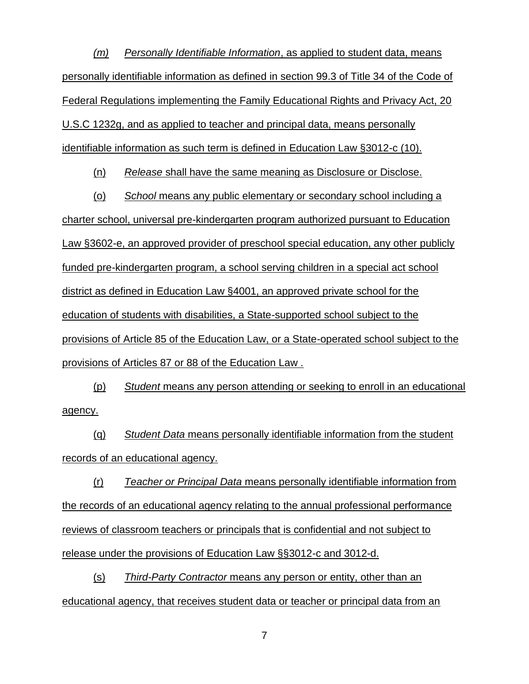*(m) Personally Identifiable Information*, as applied to student data, means personally identifiable information as defined in section 99.3 of Title 34 of the Code of Federal Regulations implementing the Family Educational Rights and Privacy Act, 20 U.S.C 1232g, and as applied to teacher and principal data, means personally identifiable information as such term is defined in Education Law §3012-c (10).

(n) *Release* shall have the same meaning as Disclosure or Disclose.

(o) *School* means any public elementary or secondary school including a charter school, universal pre-kindergarten program authorized pursuant to Education Law §3602-e, an approved provider of preschool special education, any other publicly funded pre-kindergarten program, a school serving children in a special act school district as defined in Education Law §4001, an approved private school for the education of students with disabilities, a State-supported school subject to the provisions of Article 85 of the Education Law, or a State-operated school subject to the provisions of Articles 87 or 88 of the Education Law .

(p) *Student* means any person attending or seeking to enroll in an educational agency.

(q) *Student Data* means personally identifiable information from the student records of an educational agency.

(r) *Teacher or Principal Data* means personally identifiable information from the records of an educational agency relating to the annual professional performance reviews of classroom teachers or principals that is confidential and not subject to release under the provisions of Education Law §§3012-c and 3012-d.

(s) *Third-Party Contractor* means any person or entity, other than an educational agency, that receives student data or teacher or principal data from an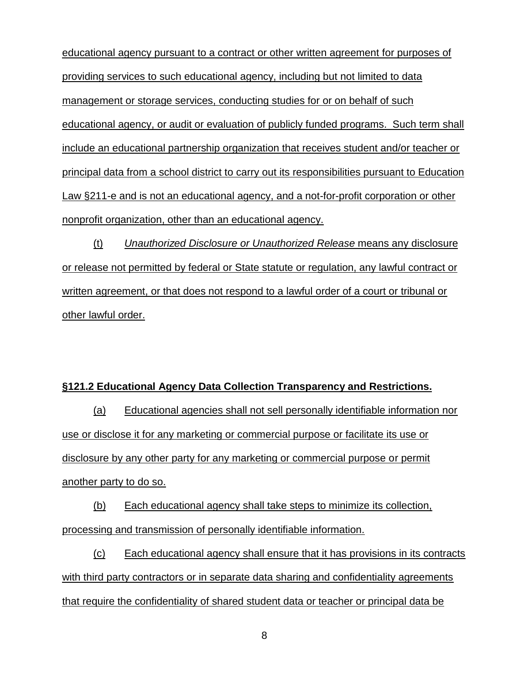educational agency pursuant to a contract or other written agreement for purposes of providing services to such educational agency, including but not limited to data management or storage services, conducting studies for or on behalf of such educational agency, or audit or evaluation of publicly funded programs. Such term shall include an educational partnership organization that receives student and/or teacher or principal data from a school district to carry out its responsibilities pursuant to Education Law §211-e and is not an educational agency, and a not-for-profit corporation or other nonprofit organization, other than an educational agency.

(t) *Unauthorized Disclosure or Unauthorized Release* means any disclosure or release not permitted by federal or State statute or regulation, any lawful contract or written agreement, or that does not respond to a lawful order of a court or tribunal or other lawful order.

### **§121.2 Educational Agency Data Collection Transparency and Restrictions.**

(a) Educational agencies shall not sell personally identifiable information nor use or disclose it for any marketing or commercial purpose or facilitate its use or disclosure by any other party for any marketing or commercial purpose or permit another party to do so.

(b) Each educational agency shall take steps to minimize its collection, processing and transmission of personally identifiable information.

(c) Each educational agency shall ensure that it has provisions in its contracts with third party contractors or in separate data sharing and confidentiality agreements that require the confidentiality of shared student data or teacher or principal data be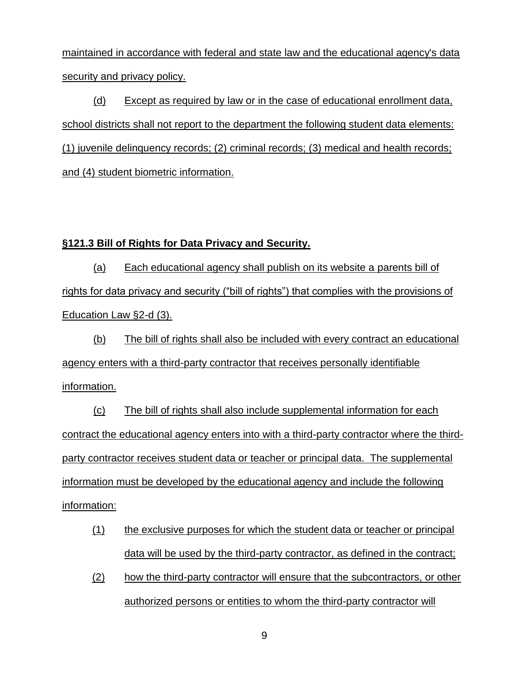maintained in accordance with federal and state law and the educational agency's data security and privacy policy.

(d) Except as required by law or in the case of educational enrollment data, school districts shall not report to the department the following student data elements: (1) juvenile delinquency records; (2) criminal records; (3) medical and health records; and (4) student biometric information.

### **§121.3 Bill of Rights for Data Privacy and Security.**

(a) Each educational agency shall publish on its website a parents bill of rights for data privacy and security ("bill of rights") that complies with the provisions of Education Law §2-d (3).

(b) The bill of rights shall also be included with every contract an educational agency enters with a third-party contractor that receives personally identifiable information.

(c) The bill of rights shall also include supplemental information for each contract the educational agency enters into with a third-party contractor where the thirdparty contractor receives student data or teacher or principal data. The supplemental information must be developed by the educational agency and include the following information:

- (1) the exclusive purposes for which the student data or teacher or principal data will be used by the third-party contractor, as defined in the contract;
- (2) how the third-party contractor will ensure that the subcontractors, or other authorized persons or entities to whom the third-party contractor will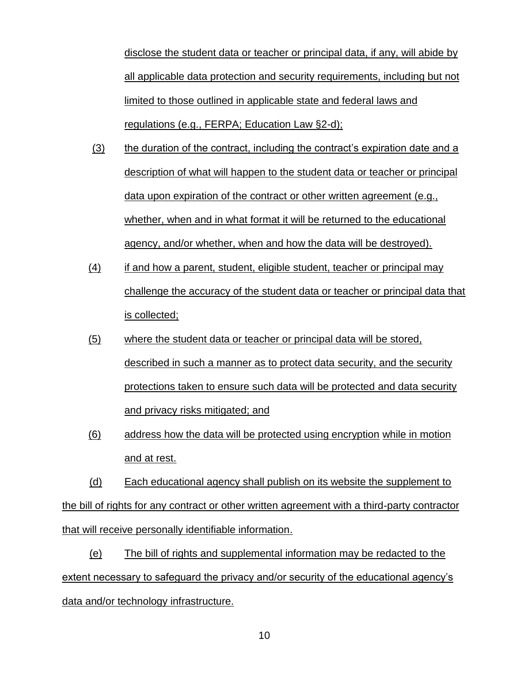disclose the student data or teacher or principal data, if any, will abide by all applicable data protection and security requirements, including but not limited to those outlined in applicable state and federal laws and regulations (e.g., FERPA; Education Law §2-d);

- (3) the duration of the contract, including the contract's expiration date and a description of what will happen to the student data or teacher or principal data upon expiration of the contract or other written agreement (e.g., whether, when and in what format it will be returned to the educational agency, and/or whether, when and how the data will be destroyed).
- (4) if and how a parent, student, eligible student, teacher or principal may challenge the accuracy of the student data or teacher or principal data that is collected;
- (5) where the student data or teacher or principal data will be stored, described in such a manner as to protect data security, and the security protections taken to ensure such data will be protected and data security and privacy risks mitigated; and
- (6) address how the data will be protected using encryption while in motion and at rest.

(d) Each educational agency shall publish on its website the supplement to the bill of rights for any contract or other written agreement with a third-party contractor that will receive personally identifiable information.

(e) The bill of rights and supplemental information may be redacted to the extent necessary to safeguard the privacy and/or security of the educational agency's data and/or technology infrastructure.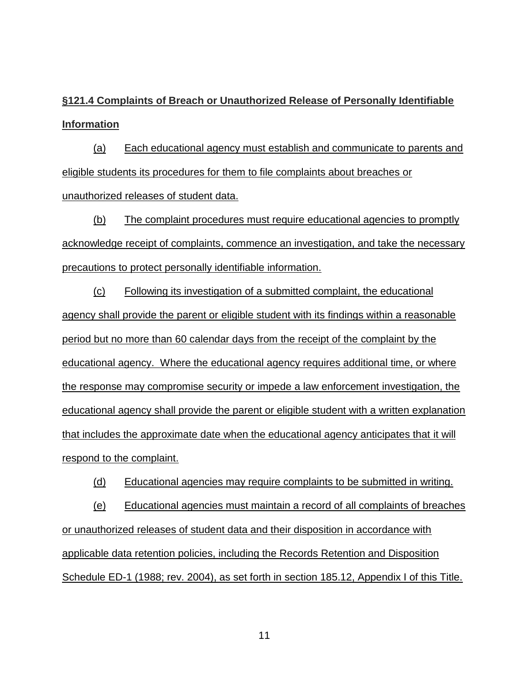**§121.4 Complaints of Breach or Unauthorized Release of Personally Identifiable Information**

(a) Each educational agency must establish and communicate to parents and eligible students its procedures for them to file complaints about breaches or unauthorized releases of student data.

(b) The complaint procedures must require educational agencies to promptly acknowledge receipt of complaints, commence an investigation, and take the necessary precautions to protect personally identifiable information.

(c) Following its investigation of a submitted complaint, the educational agency shall provide the parent or eligible student with its findings within a reasonable period but no more than 60 calendar days from the receipt of the complaint by the educational agency. Where the educational agency requires additional time, or where the response may compromise security or impede a law enforcement investigation, the educational agency shall provide the parent or eligible student with a written explanation that includes the approximate date when the educational agency anticipates that it will respond to the complaint.

(d) Educational agencies may require complaints to be submitted in writing.

(e) Educational agencies must maintain a record of all complaints of breaches or unauthorized releases of student data and their disposition in accordance with applicable data retention policies, including the Records Retention and Disposition Schedule ED-1 (1988; rev. 2004), as set forth in section 185.12, Appendix I of this Title.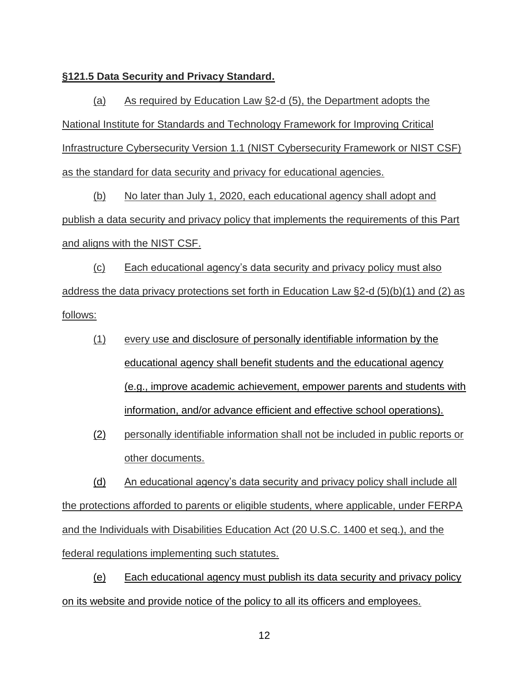### **§121.5 Data Security and Privacy Standard.**

(a) As required by Education Law §2-d (5), the Department adopts the National Institute for Standards and Technology Framework for Improving Critical Infrastructure Cybersecurity Version 1.1 (NIST Cybersecurity Framework or NIST CSF) as the standard for data security and privacy for educational agencies.

(b) No later than July 1, 2020, each educational agency shall adopt and publish a data security and privacy policy that implements the requirements of this Part and aligns with the NIST CSF.

(c) Each educational agency's data security and privacy policy must also address the data privacy protections set forth in Education Law §2-d (5)(b)(1) and (2) as follows:

- (1) every use and disclosure of personally identifiable information by the educational agency shall benefit students and the educational agency (e.g., improve academic achievement, empower parents and students with information, and/or advance efficient and effective school operations).
- (2) personally identifiable information shall not be included in public reports or other documents.

(d) An educational agency's data security and privacy policy shall include all the protections afforded to parents or eligible students, where applicable, under FERPA and the Individuals with Disabilities Education Act (20 U.S.C. 1400 et seq.), and the federal regulations implementing such statutes.

(e) Each educational agency must publish its data security and privacy policy on its website and provide notice of the policy to all its officers and employees.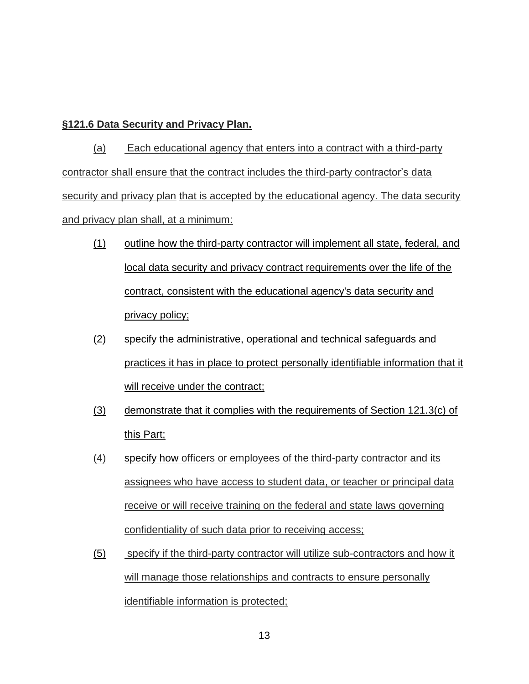## **§121.6 Data Security and Privacy Plan.**

(a) Each educational agency that enters into a contract with a third-party contractor shall ensure that the contract includes the third-party contractor's data security and privacy plan that is accepted by the educational agency. The data security and privacy plan shall, at a minimum:

- (1) outline how the third-party contractor will implement all state, federal, and local data security and privacy contract requirements over the life of the contract, consistent with the educational agency's data security and privacy policy;
- (2) specify the administrative, operational and technical safeguards and practices it has in place to protect personally identifiable information that it will receive under the contract;
- (3) demonstrate that it complies with the requirements of Section 121.3(c) of this Part;
- (4) specify how officers or employees of the third-party contractor and its assignees who have access to student data, or teacher or principal data receive or will receive training on the federal and state laws governing confidentiality of such data prior to receiving access;
- (5) specify if the third-party contractor will utilize sub-contractors and how it will manage those relationships and contracts to ensure personally identifiable information is protected;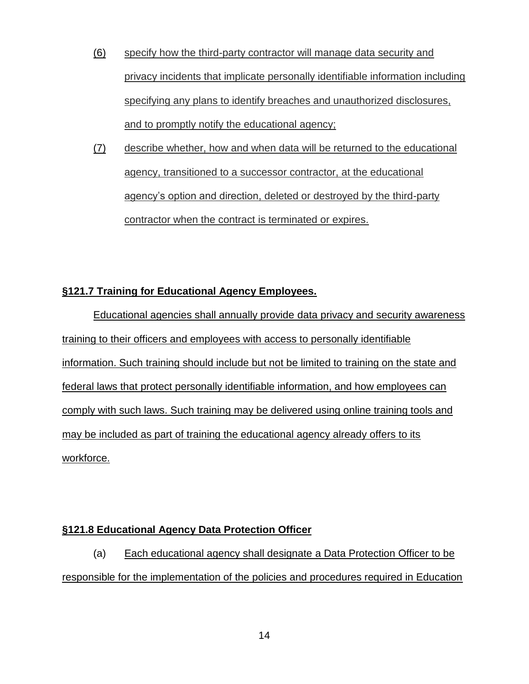- (6) specify how the third-party contractor will manage data security and privacy incidents that implicate personally identifiable information including specifying any plans to identify breaches and unauthorized disclosures, and to promptly notify the educational agency;
- (7) describe whether, how and when data will be returned to the educational agency, transitioned to a successor contractor, at the educational agency's option and direction, deleted or destroyed by the third-party contractor when the contract is terminated or expires.

## **§121.7 Training for Educational Agency Employees.**

Educational agencies shall annually provide data privacy and security awareness training to their officers and employees with access to personally identifiable information. Such training should include but not be limited to training on the state and federal laws that protect personally identifiable information, and how employees can comply with such laws. Such training may be delivered using online training tools and may be included as part of training the educational agency already offers to its workforce.

## **§121.8 Educational Agency Data Protection Officer**

(a) Each educational agency shall designate a Data Protection Officer to be responsible for the implementation of the policies and procedures required in Education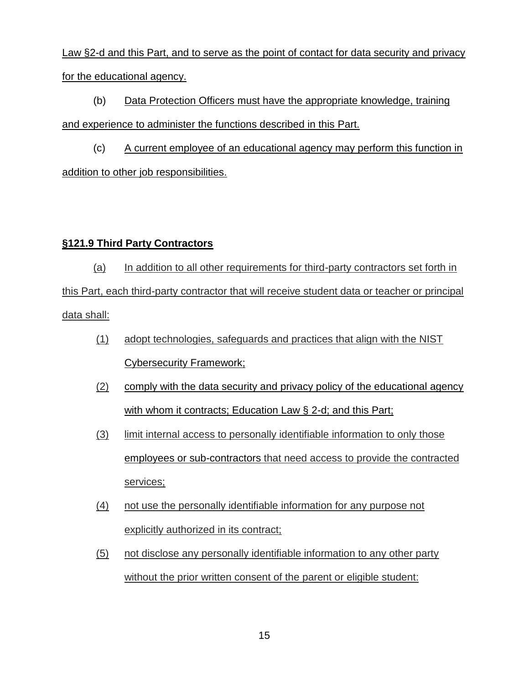Law §2-d and this Part, and to serve as the point of contact for data security and privacy for the educational agency.

(b) Data Protection Officers must have the appropriate knowledge, training and experience to administer the functions described in this Part.

(c) A current employee of an educational agency may perform this function in addition to other job responsibilities.

## **§121.9 Third Party Contractors**

(a) In addition to all other requirements for third-party contractors set forth in this Part, each third-party contractor that will receive student data or teacher or principal data shall:

- (1) adopt technologies, safeguards and practices that align with the NIST Cybersecurity Framework;
- (2) comply with the data security and privacy policy of the educational agency with whom it contracts; Education Law § 2-d; and this Part;
- (3) limit internal access to personally identifiable information to only those employees or sub-contractors that need access to provide the contracted services;
- (4) not use the personally identifiable information for any purpose not explicitly authorized in its contract;
- (5) not disclose any personally identifiable information to any other party without the prior written consent of the parent or eligible student: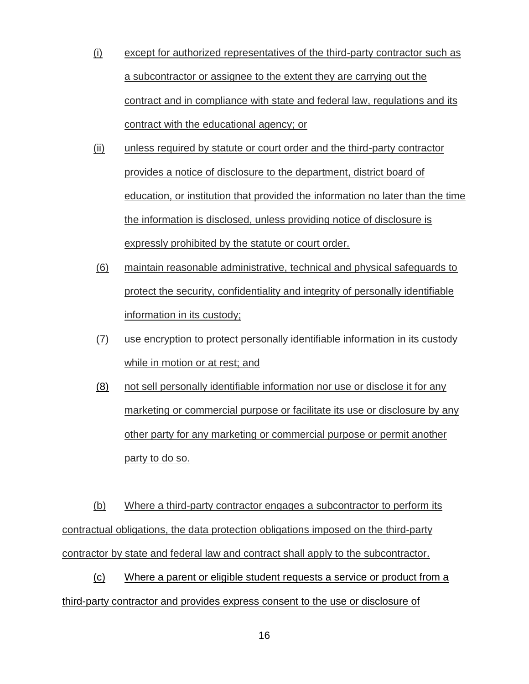- (i) except for authorized representatives of the third-party contractor such as a subcontractor or assignee to the extent they are carrying out the contract and in compliance with state and federal law, regulations and its contract with the educational agency; or
- (ii) unless required by statute or court order and the third-party contractor provides a notice of disclosure to the department, district board of education, or institution that provided the information no later than the time the information is disclosed, unless providing notice of disclosure is expressly prohibited by the statute or court order.
- (6) maintain reasonable administrative, technical and physical safeguards to protect the security, confidentiality and integrity of personally identifiable information in its custody;
- (7) use encryption to protect personally identifiable information in its custody while in motion or at rest; and
- (8) not sell personally identifiable information nor use or disclose it for any marketing or commercial purpose or facilitate its use or disclosure by any other party for any marketing or commercial purpose or permit another party to do so.

(b) Where a third-party contractor engages a subcontractor to perform its contractual obligations, the data protection obligations imposed on the third-party contractor by state and federal law and contract shall apply to the subcontractor.

(c) Where a parent or eligible student requests a service or product from a third-party contractor and provides express consent to the use or disclosure of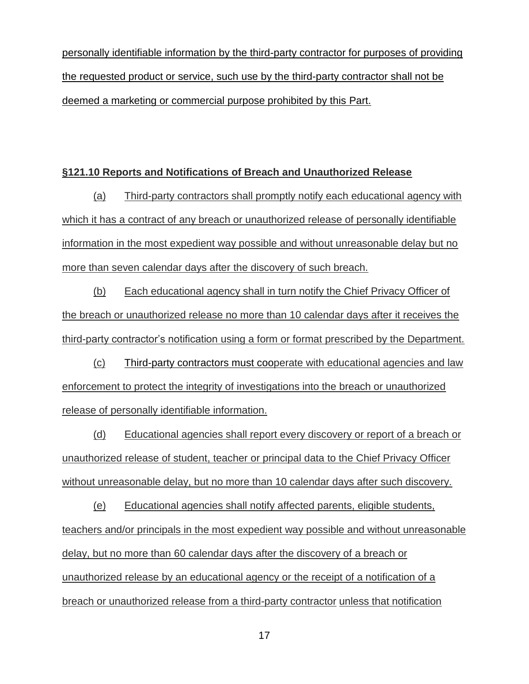personally identifiable information by the third-party contractor for purposes of providing the requested product or service, such use by the third-party contractor shall not be deemed a marketing or commercial purpose prohibited by this Part.

### **§121.10 Reports and Notifications of Breach and Unauthorized Release**

(a) Third-party contractors shall promptly notify each educational agency with which it has a contract of any breach or unauthorized release of personally identifiable information in the most expedient way possible and without unreasonable delay but no more than seven calendar days after the discovery of such breach.

(b) Each educational agency shall in turn notify the Chief Privacy Officer of the breach or unauthorized release no more than 10 calendar days after it receives the third-party contractor's notification using a form or format prescribed by the Department.

(c) Third-party contractors must cooperate with educational agencies and law enforcement to protect the integrity of investigations into the breach or unauthorized release of personally identifiable information.

(d) Educational agencies shall report every discovery or report of a breach or unauthorized release of student, teacher or principal data to the Chief Privacy Officer without unreasonable delay, but no more than 10 calendar days after such discovery.

(e) Educational agencies shall notify affected parents, eligible students, teachers and/or principals in the most expedient way possible and without unreasonable delay, but no more than 60 calendar days after the discovery of a breach or unauthorized release by an educational agency or the receipt of a notification of a breach or unauthorized release from a third-party contractor unless that notification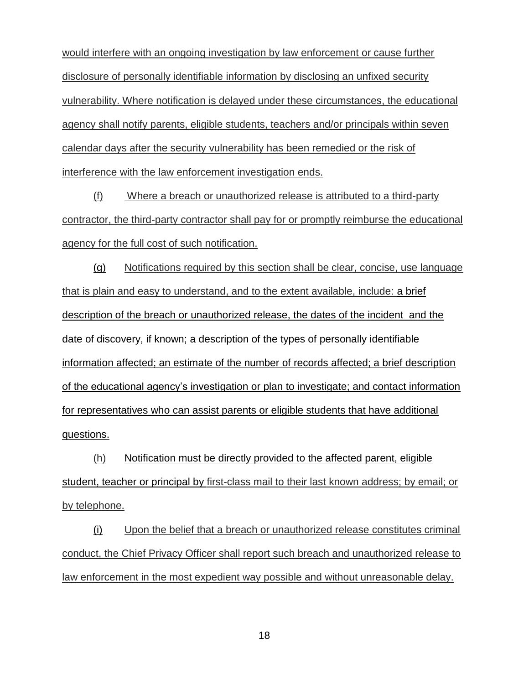would interfere with an ongoing investigation by law enforcement or cause further disclosure of personally identifiable information by disclosing an unfixed security vulnerability. Where notification is delayed under these circumstances, the educational agency shall notify parents, eligible students, teachers and/or principals within seven calendar days after the security vulnerability has been remedied or the risk of interference with the law enforcement investigation ends.

(f) Where a breach or unauthorized release is attributed to a third-party contractor, the third-party contractor shall pay for or promptly reimburse the educational agency for the full cost of such notification.

(g) Notifications required by this section shall be clear, concise, use language that is plain and easy to understand, and to the extent available, include: a brief description of the breach or unauthorized release, the dates of the incident and the date of discovery, if known; a description of the types of personally identifiable information affected; an estimate of the number of records affected; a brief description of the educational agency's investigation or plan to investigate; and contact information for representatives who can assist parents or eligible students that have additional questions.

(h) Notification must be directly provided to the affected parent, eligible student, teacher or principal by first-class mail to their last known address; by email; or by telephone.

(i) Upon the belief that a breach or unauthorized release constitutes criminal conduct, the Chief Privacy Officer shall report such breach and unauthorized release to law enforcement in the most expedient way possible and without unreasonable delay.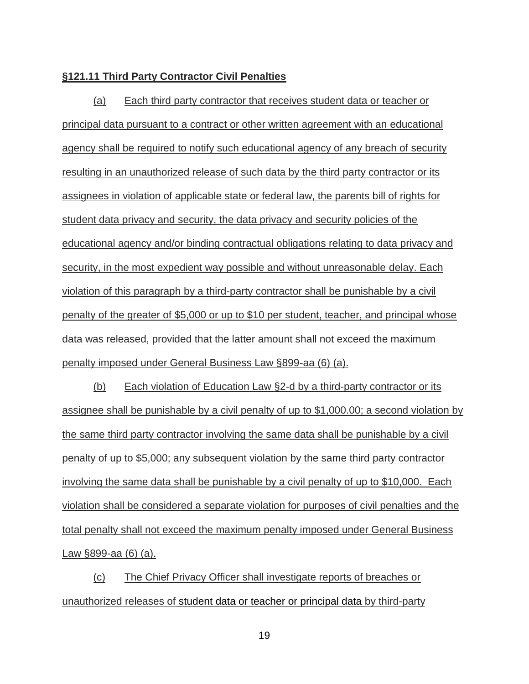### **§121.11 Third Party Contractor Civil Penalties**

(a) Each third party contractor that receives student data or teacher or principal data pursuant to a contract or other written agreement with an educational agency shall be required to notify such educational agency of any breach of security resulting in an unauthorized release of such data by the third party contractor or its assignees in violation of applicable state or federal law, the parents bill of rights for student data privacy and security, the data privacy and security policies of the educational agency and/or binding contractual obligations relating to data privacy and security, in the most expedient way possible and without unreasonable delay. Each violation of this paragraph by a third-party contractor shall be punishable by a civil penalty of the greater of \$5,000 or up to \$10 per student, teacher, and principal whose data was released, provided that the latter amount shall not exceed the maximum penalty imposed under General Business Law §899-aa (6) (a).

(b) Each violation of Education Law §2-d by a third-party contractor or its assignee shall be punishable by a civil penalty of up to \$1,000.00; a second violation by the same third party contractor involving the same data shall be punishable by a civil penalty of up to \$5,000; any subsequent violation by the same third party contractor involving the same data shall be punishable by a civil penalty of up to \$10,000. Each violation shall be considered a separate violation for purposes of civil penalties and the total penalty shall not exceed the maximum penalty imposed under General Business Law §899-aa (6) (a).

(c) The Chief Privacy Officer shall investigate reports of breaches or unauthorized releases of student data or teacher or principal data by third-party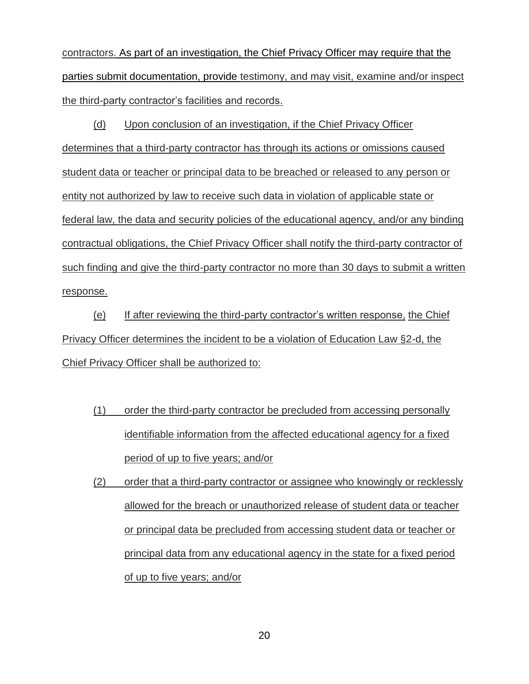contractors. As part of an investigation, the Chief Privacy Officer may require that the parties submit documentation, provide testimony, and may visit, examine and/or inspect the third-party contractor's facilities and records.

(d) Upon conclusion of an investigation, if the Chief Privacy Officer determines that a third-party contractor has through its actions or omissions caused student data or teacher or principal data to be breached or released to any person or entity not authorized by law to receive such data in violation of applicable state or federal law, the data and security policies of the educational agency, and/or any binding contractual obligations, the Chief Privacy Officer shall notify the third-party contractor of such finding and give the third-party contractor no more than 30 days to submit a written response.

(e) If after reviewing the third-party contractor's written response, the Chief Privacy Officer determines the incident to be a violation of Education Law §2-d, the Chief Privacy Officer shall be authorized to:

- (1) order the third-party contractor be precluded from accessing personally identifiable information from the affected educational agency for a fixed period of up to five years; and/or
- (2) order that a third-party contractor or assignee who knowingly or recklessly allowed for the breach or unauthorized release of student data or teacher or principal data be precluded from accessing student data or teacher or principal data from any educational agency in the state for a fixed period of up to five years; and/or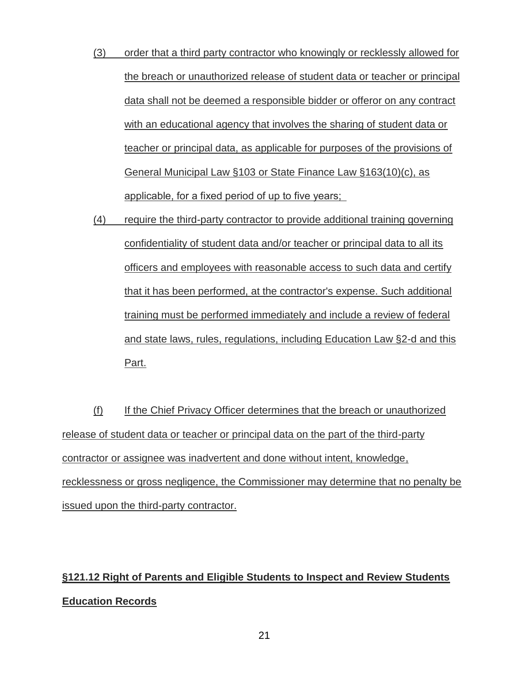- (3) order that a third party contractor who knowingly or recklessly allowed for the breach or unauthorized release of student data or teacher or principal data shall not be deemed a responsible bidder or offeror on any contract with an educational agency that involves the sharing of student data or teacher or principal data, as applicable for purposes of the provisions of General Municipal Law §103 or State Finance Law §163(10)(c), as applicable, for a fixed period of up to five years;
- (4) require the third-party contractor to provide additional training governing confidentiality of student data and/or teacher or principal data to all its officers and employees with reasonable access to such data and certify that it has been performed, at the contractor's expense. Such additional training must be performed immediately and include a review of federal and state laws, rules, regulations, including Education Law §2-d and this Part.

(f) If the Chief Privacy Officer determines that the breach or unauthorized release of student data or teacher or principal data on the part of the third-party contractor or assignee was inadvertent and done without intent, knowledge, recklessness or gross negligence, the Commissioner may determine that no penalty be issued upon the third-party contractor.

## **§121.12 Right of Parents and Eligible Students to Inspect and Review Students Education Records**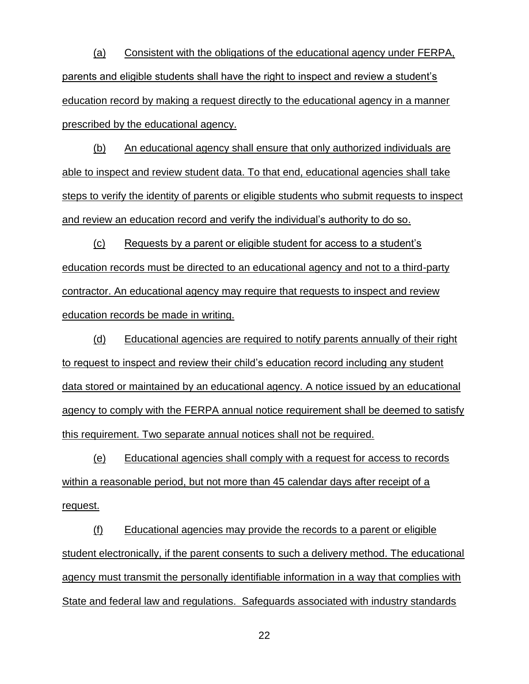(a) Consistent with the obligations of the educational agency under FERPA, parents and eligible students shall have the right to inspect and review a student's education record by making a request directly to the educational agency in a manner prescribed by the educational agency.

(b) An educational agency shall ensure that only authorized individuals are able to inspect and review student data. To that end, educational agencies shall take steps to verify the identity of parents or eligible students who submit requests to inspect and review an education record and verify the individual's authority to do so.

(c) Requests by a parent or eligible student for access to a student's education records must be directed to an educational agency and not to a third-party contractor. An educational agency may require that requests to inspect and review education records be made in writing.

(d) Educational agencies are required to notify parents annually of their right to request to inspect and review their child's education record including any student data stored or maintained by an educational agency. A notice issued by an educational agency to comply with the FERPA annual notice requirement shall be deemed to satisfy this requirement. Two separate annual notices shall not be required.

(e) Educational agencies shall comply with a request for access to records within a reasonable period, but not more than 45 calendar days after receipt of a request.

(f) Educational agencies may provide the records to a parent or eligible student electronically, if the parent consents to such a delivery method. The educational agency must transmit the personally identifiable information in a way that complies with State and federal law and regulations. Safeguards associated with industry standards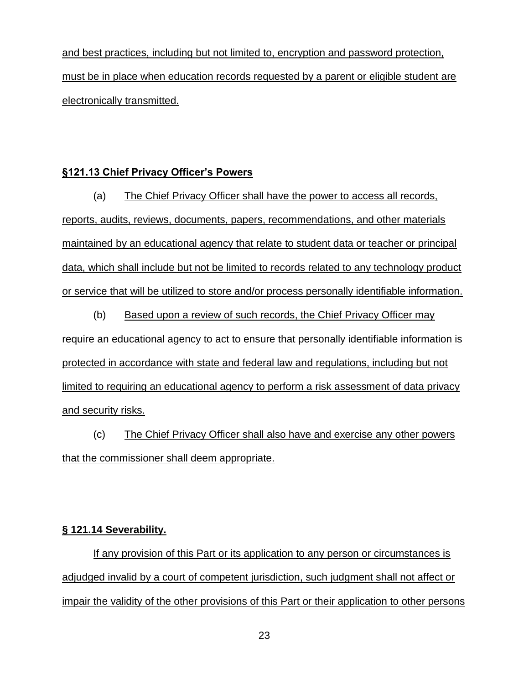and best practices, including but not limited to, encryption and password protection, must be in place when education records requested by a parent or eligible student are electronically transmitted.

## **§121.13 Chief Privacy Officer's Powers**

(a) The Chief Privacy Officer shall have the power to access all records, reports, audits, reviews, documents, papers, recommendations, and other materials maintained by an educational agency that relate to student data or teacher or principal data, which shall include but not be limited to records related to any technology product or service that will be utilized to store and/or process personally identifiable information.

(b) Based upon a review of such records, the Chief Privacy Officer may require an educational agency to act to ensure that personally identifiable information is protected in accordance with state and federal law and regulations, including but not limited to requiring an educational agency to perform a risk assessment of data privacy and security risks.

(c) The Chief Privacy Officer shall also have and exercise any other powers that the commissioner shall deem appropriate.

## **§ 121.14 Severability.**

If any provision of this Part or its application to any person or circumstances is adjudged invalid by a court of competent jurisdiction, such judgment shall not affect or impair the validity of the other provisions of this Part or their application to other persons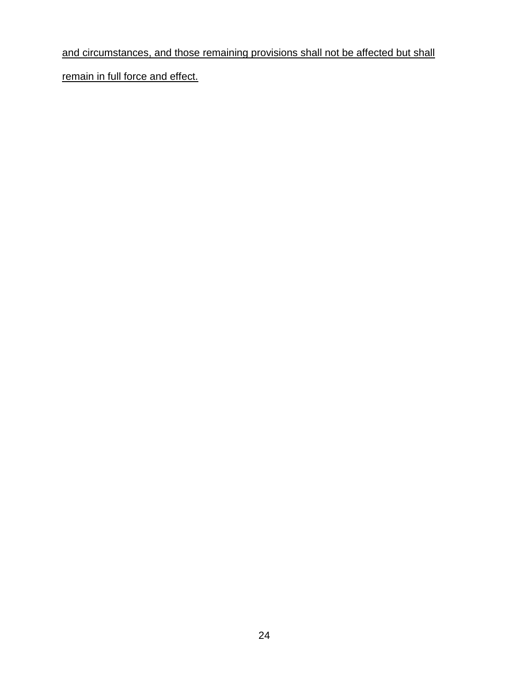## and circumstances, and those remaining provisions shall not be affected but shall

remain in full force and effect.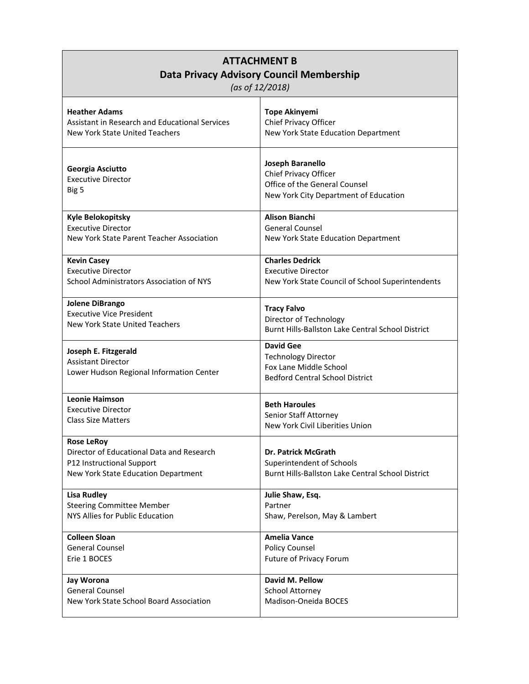| <b>ATTACHMENT B</b><br>Data Privacy Advisory Council Membership<br>(as of 12/2018)                                                 |                                                                                                                     |
|------------------------------------------------------------------------------------------------------------------------------------|---------------------------------------------------------------------------------------------------------------------|
| <b>Heather Adams</b>                                                                                                               | <b>Tope Akinyemi</b>                                                                                                |
| Assistant in Research and Educational Services                                                                                     | Chief Privacy Officer                                                                                               |
| New York State United Teachers                                                                                                     | New York State Education Department                                                                                 |
| Georgia Asciutto<br><b>Executive Director</b><br>Big 5                                                                             | Joseph Baranello<br>Chief Privacy Officer<br>Office of the General Counsel<br>New York City Department of Education |
| <b>Kyle Belokopitsky</b>                                                                                                           | <b>Alison Bianchi</b>                                                                                               |
| <b>Executive Director</b>                                                                                                          | <b>General Counsel</b>                                                                                              |
| New York State Parent Teacher Association                                                                                          | New York State Education Department                                                                                 |
| <b>Kevin Casey</b>                                                                                                                 | <b>Charles Dedrick</b>                                                                                              |
| <b>Executive Director</b>                                                                                                          | <b>Executive Director</b>                                                                                           |
| School Administrators Association of NYS                                                                                           | New York State Council of School Superintendents                                                                    |
| Jolene DiBrango                                                                                                                    | <b>Tracy Falvo</b>                                                                                                  |
| <b>Executive Vice President</b>                                                                                                    | Director of Technology                                                                                              |
| New York State United Teachers                                                                                                     | Burnt Hills-Ballston Lake Central School District                                                                   |
| Joseph E. Fitzgerald<br><b>Assistant Director</b><br>Lower Hudson Regional Information Center                                      | <b>David Gee</b><br><b>Technology Director</b><br>Fox Lane Middle School<br><b>Bedford Central School District</b>  |
| <b>Leonie Haimson</b>                                                                                                              | <b>Beth Haroules</b>                                                                                                |
| <b>Executive Director</b>                                                                                                          | Senior Staff Attorney                                                                                               |
| <b>Class Size Matters</b>                                                                                                          | New York Civil Liberities Union                                                                                     |
| <b>Rose LeRoy</b><br>Director of Educational Data and Research<br>P12 Instructional Support<br>New York State Education Department | <b>Dr. Patrick McGrath</b><br>Superintendent of Schools<br>Burnt Hills-Ballston Lake Central School District        |
| <b>Lisa Rudley</b>                                                                                                                 | Julie Shaw, Esq.                                                                                                    |
| <b>Steering Committee Member</b>                                                                                                   | Partner                                                                                                             |
| NYS Allies for Public Education                                                                                                    | Shaw, Perelson, May & Lambert                                                                                       |
| <b>Colleen Sloan</b>                                                                                                               | <b>Amelia Vance</b>                                                                                                 |
| <b>General Counsel</b>                                                                                                             | <b>Policy Counsel</b>                                                                                               |
| Erie 1 BOCES                                                                                                                       | Future of Privacy Forum                                                                                             |
| <b>Jay Worona</b>                                                                                                                  | David M. Pellow                                                                                                     |
| <b>General Counsel</b>                                                                                                             | School Attorney                                                                                                     |
| New York State School Board Association                                                                                            | Madison-Oneida BOCES                                                                                                |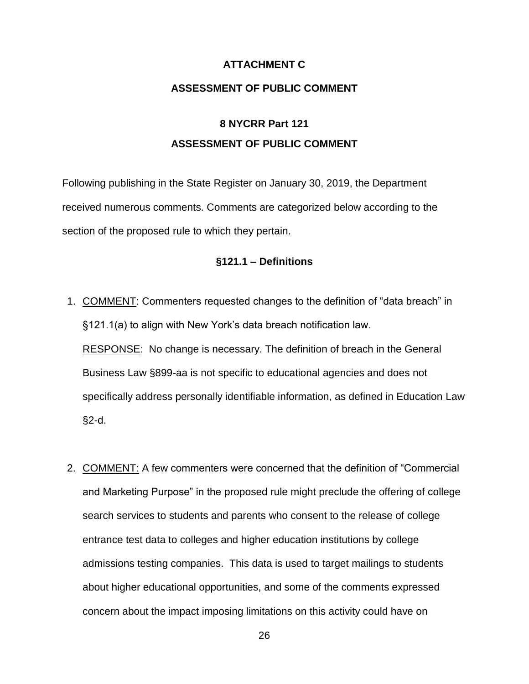### **ATTACHMENT C**

### **ASSESSMENT OF PUBLIC COMMENT**

## **8 NYCRR Part 121 ASSESSMENT OF PUBLIC COMMENT**

Following publishing in the State Register on January 30, 2019, the Department received numerous comments. Comments are categorized below according to the section of the proposed rule to which they pertain.

### **§121.1 – Definitions**

- 1. COMMENT: Commenters requested changes to the definition of "data breach" in §121.1(a) to align with New York's data breach notification law. RESPONSE: No change is necessary. The definition of breach in the General Business Law §899-aa is not specific to educational agencies and does not specifically address personally identifiable information, as defined in Education Law §2-d.
- 2. COMMENT: A few commenters were concerned that the definition of "Commercial and Marketing Purpose" in the proposed rule might preclude the offering of college search services to students and parents who consent to the release of college entrance test data to colleges and higher education institutions by college admissions testing companies. This data is used to target mailings to students about higher educational opportunities, and some of the comments expressed concern about the impact imposing limitations on this activity could have on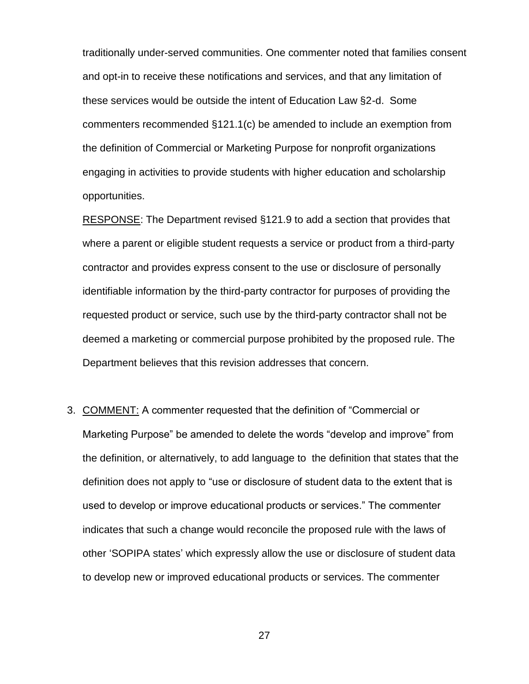traditionally under-served communities. One commenter noted that families consent and opt-in to receive these notifications and services, and that any limitation of these services would be outside the intent of Education Law §2-d. Some commenters recommended §121.1(c) be amended to include an exemption from the definition of Commercial or Marketing Purpose for nonprofit organizations engaging in activities to provide students with higher education and scholarship opportunities.

RESPONSE: The Department revised §121.9 to add a section that provides that where a parent or eligible student requests a service or product from a third-party contractor and provides express consent to the use or disclosure of personally identifiable information by the third-party contractor for purposes of providing the requested product or service, such use by the third-party contractor shall not be deemed a marketing or commercial purpose prohibited by the proposed rule. The Department believes that this revision addresses that concern.

3. COMMENT: A commenter requested that the definition of "Commercial or Marketing Purpose" be amended to delete the words "develop and improve" from the definition, or alternatively, to add language to the definition that states that the definition does not apply to "use or disclosure of student data to the extent that is used to develop or improve educational products or services." The commenter indicates that such a change would reconcile the proposed rule with the laws of other 'SOPIPA states' which expressly allow the use or disclosure of student data to develop new or improved educational products or services. The commenter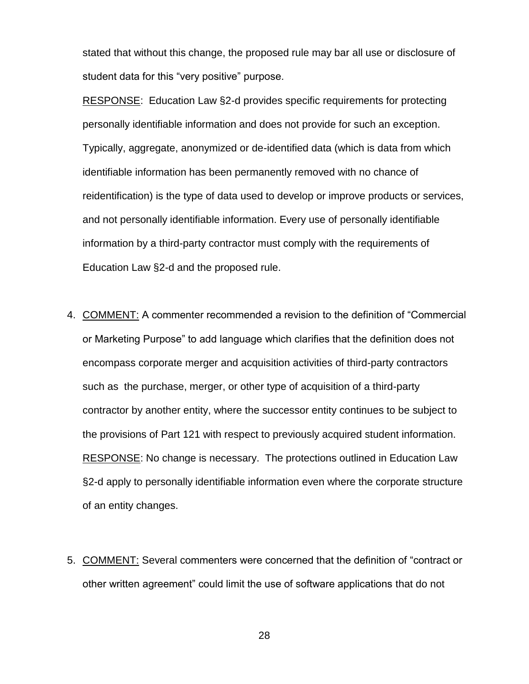stated that without this change, the proposed rule may bar all use or disclosure of student data for this "very positive" purpose.

RESPONSE: Education Law §2-d provides specific requirements for protecting personally identifiable information and does not provide for such an exception. Typically, aggregate, anonymized or de-identified data (which is data from which identifiable information has been permanently removed with no chance of reidentification) is the type of data used to develop or improve products or services, and not personally identifiable information. Every use of personally identifiable information by a third-party contractor must comply with the requirements of Education Law §2-d and the proposed rule.

- 4. COMMENT: A commenter recommended a revision to the definition of "Commercial or Marketing Purpose" to add language which clarifies that the definition does not encompass corporate merger and acquisition activities of third-party contractors such as the purchase, merger, or other type of acquisition of a third-party contractor by another entity, where the successor entity continues to be subject to the provisions of Part 121 with respect to previously acquired student information. RESPONSE: No change is necessary. The protections outlined in Education Law §2-d apply to personally identifiable information even where the corporate structure of an entity changes.
- 5. COMMENT: Several commenters were concerned that the definition of "contract or other written agreement" could limit the use of software applications that do not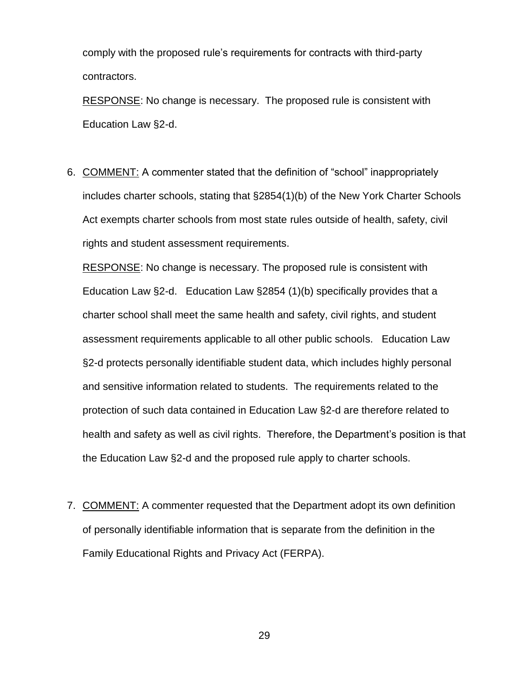comply with the proposed rule's requirements for contracts with third-party contractors.

RESPONSE: No change is necessary. The proposed rule is consistent with Education Law §2-d.

6. COMMENT: A commenter stated that the definition of "school" inappropriately includes charter schools, stating that §2854(1)(b) of the New York Charter Schools Act exempts charter schools from most state rules outside of health, safety, civil rights and student assessment requirements.

RESPONSE: No change is necessary. The proposed rule is consistent with Education Law §2-d. Education Law §2854 (1)(b) specifically provides that a charter school shall meet the same health and safety, civil rights, and student assessment requirements applicable to all other public schools. Education Law §2-d protects personally identifiable student data, which includes highly personal and sensitive information related to students. The requirements related to the protection of such data contained in Education Law §2-d are therefore related to health and safety as well as civil rights. Therefore, the Department's position is that the Education Law §2-d and the proposed rule apply to charter schools.

7. COMMENT: A commenter requested that the Department adopt its own definition of personally identifiable information that is separate from the definition in the Family Educational Rights and Privacy Act (FERPA).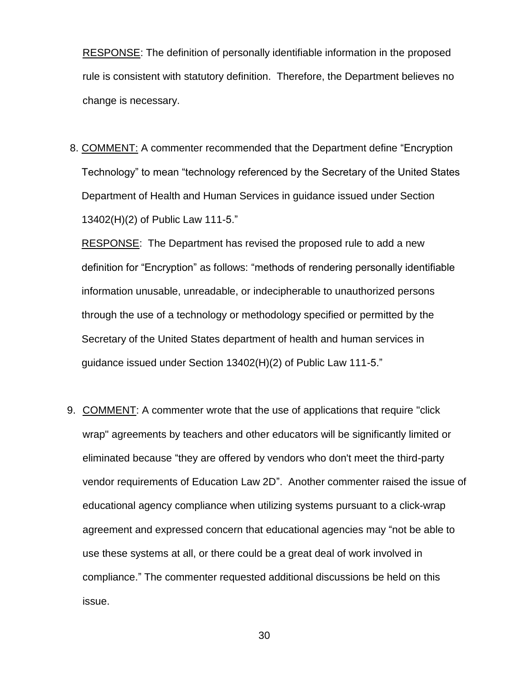RESPONSE: The definition of personally identifiable information in the proposed rule is consistent with statutory definition. Therefore, the Department believes no change is necessary.

8. COMMENT: A commenter recommended that the Department define "Encryption Technology" to mean "technology referenced by the Secretary of the United States Department of Health and Human Services in guidance issued under Section 13402(H)(2) of Public Law 111-5."

RESPONSE: The Department has revised the proposed rule to add a new definition for "Encryption" as follows: "methods of rendering personally identifiable information unusable, unreadable, or indecipherable to unauthorized persons through the use of a technology or methodology specified or permitted by the Secretary of the United States department of health and human services in guidance issued under Section 13402(H)(2) of Public Law 111-5."

9. COMMENT: A commenter wrote that the use of applications that require "click wrap" agreements by teachers and other educators will be significantly limited or eliminated because "they are offered by vendors who don't meet the third-party vendor requirements of Education Law 2D". Another commenter raised the issue of educational agency compliance when utilizing systems pursuant to a click-wrap agreement and expressed concern that educational agencies may "not be able to use these systems at all, or there could be a great deal of work involved in compliance." The commenter requested additional discussions be held on this issue.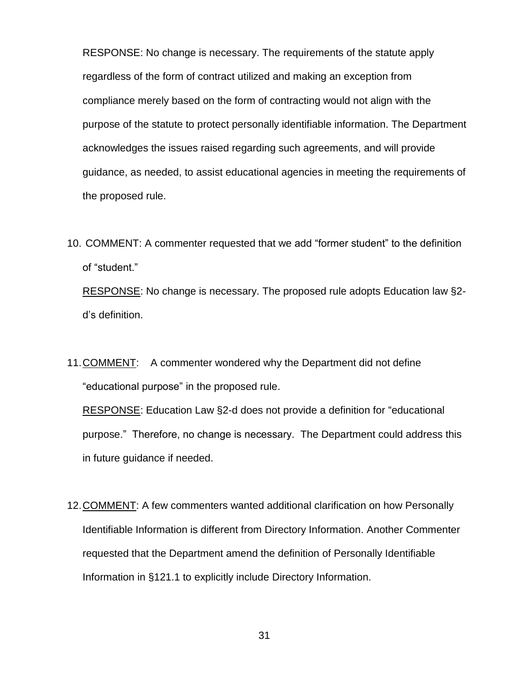RESPONSE: No change is necessary. The requirements of the statute apply regardless of the form of contract utilized and making an exception from compliance merely based on the form of contracting would not align with the purpose of the statute to protect personally identifiable information. The Department acknowledges the issues raised regarding such agreements, and will provide guidance, as needed, to assist educational agencies in meeting the requirements of the proposed rule.

- 10. COMMENT: A commenter requested that we add "former student" to the definition of "student." RESPONSE: No change is necessary. The proposed rule adopts Education law §2d's definition.
- 11.COMMENT: A commenter wondered why the Department did not define "educational purpose" in the proposed rule.

RESPONSE: Education Law §2-d does not provide a definition for "educational purpose." Therefore, no change is necessary. The Department could address this in future guidance if needed.

12.COMMENT: A few commenters wanted additional clarification on how Personally Identifiable Information is different from Directory Information. Another Commenter requested that the Department amend the definition of Personally Identifiable Information in §121.1 to explicitly include Directory Information.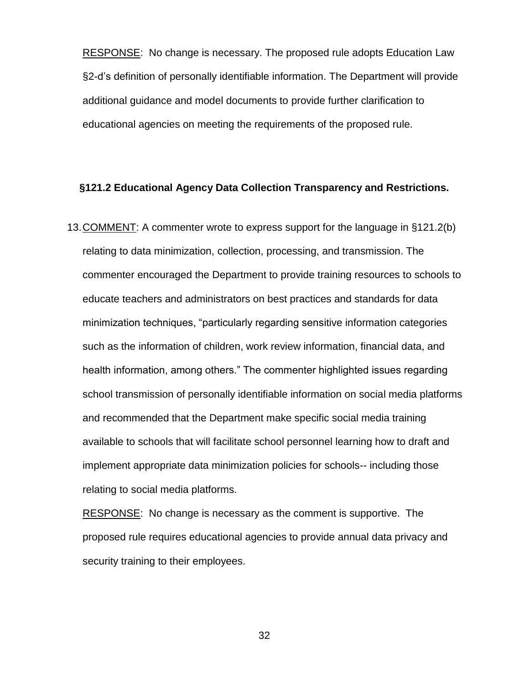RESPONSE: No change is necessary. The proposed rule adopts Education Law §2-d's definition of personally identifiable information. The Department will provide additional guidance and model documents to provide further clarification to educational agencies on meeting the requirements of the proposed rule.

#### **§121.2 Educational Agency Data Collection Transparency and Restrictions.**

13.COMMENT: A commenter wrote to express support for the language in §121.2(b) relating to data minimization, collection, processing, and transmission. The commenter encouraged the Department to provide training resources to schools to educate teachers and administrators on best practices and standards for data minimization techniques, "particularly regarding sensitive information categories such as the information of children, work review information, financial data, and health information, among others." The commenter highlighted issues regarding school transmission of personally identifiable information on social media platforms and recommended that the Department make specific social media training available to schools that will facilitate school personnel learning how to draft and implement appropriate data minimization policies for schools-- including those relating to social media platforms.

RESPONSE: No change is necessary as the comment is supportive. The proposed rule requires educational agencies to provide annual data privacy and security training to their employees.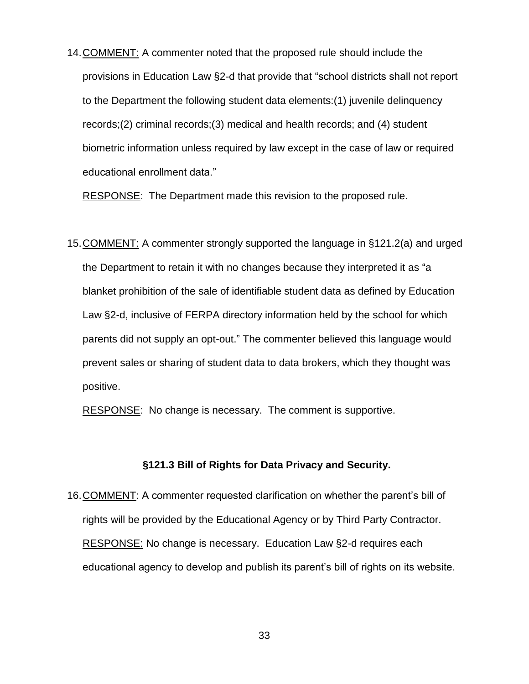14.COMMENT: A commenter noted that the proposed rule should include the provisions in Education Law §2-d that provide that "school districts shall not report to the Department the following student data elements:(1) juvenile delinquency records;(2) criminal records;(3) medical and health records; and (4) student biometric information unless required by law except in the case of law or required educational enrollment data."

RESPONSE: The Department made this revision to the proposed rule.

15.COMMENT: A commenter strongly supported the language in §121.2(a) and urged the Department to retain it with no changes because they interpreted it as "a blanket prohibition of the sale of identifiable student data as defined by Education Law §2-d, inclusive of FERPA directory information held by the school for which parents did not supply an opt-out." The commenter believed this language would prevent sales or sharing of student data to data brokers, which they thought was positive.

RESPONSE: No change is necessary. The comment is supportive.

#### **§121.3 Bill of Rights for Data Privacy and Security.**

16.COMMENT: A commenter requested clarification on whether the parent's bill of rights will be provided by the Educational Agency or by Third Party Contractor. RESPONSE: No change is necessary. Education Law §2-d requires each educational agency to develop and publish its parent's bill of rights on its website.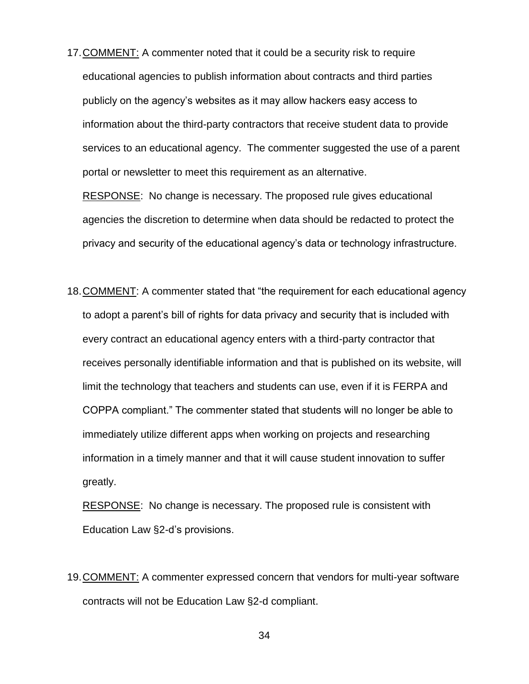17.COMMENT: A commenter noted that it could be a security risk to require educational agencies to publish information about contracts and third parties publicly on the agency's websites as it may allow hackers easy access to information about the third-party contractors that receive student data to provide services to an educational agency. The commenter suggested the use of a parent portal or newsletter to meet this requirement as an alternative.

RESPONSE: No change is necessary. The proposed rule gives educational agencies the discretion to determine when data should be redacted to protect the privacy and security of the educational agency's data or technology infrastructure.

18.COMMENT: A commenter stated that "the requirement for each educational agency to adopt a parent's bill of rights for data privacy and security that is included with every contract an educational agency enters with a third-party contractor that receives personally identifiable information and that is published on its website, will limit the technology that teachers and students can use, even if it is FERPA and COPPA compliant." The commenter stated that students will no longer be able to immediately utilize different apps when working on projects and researching information in a timely manner and that it will cause student innovation to suffer greatly.

RESPONSE: No change is necessary. The proposed rule is consistent with Education Law §2-d's provisions.

19.COMMENT: A commenter expressed concern that vendors for multi-year software contracts will not be Education Law §2-d compliant.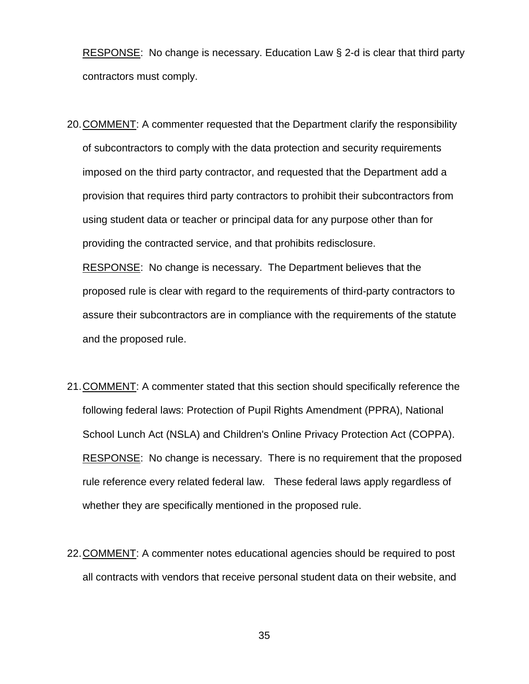RESPONSE: No change is necessary. Education Law § 2-d is clear that third party contractors must comply.

20.COMMENT: A commenter requested that the Department clarify the responsibility of subcontractors to comply with the data protection and security requirements imposed on the third party contractor, and requested that the Department add a provision that requires third party contractors to prohibit their subcontractors from using student data or teacher or principal data for any purpose other than for providing the contracted service, and that prohibits redisclosure.

RESPONSE: No change is necessary. The Department believes that the proposed rule is clear with regard to the requirements of third-party contractors to assure their subcontractors are in compliance with the requirements of the statute and the proposed rule.

- 21.COMMENT: A commenter stated that this section should specifically reference the following federal laws: Protection of Pupil Rights Amendment (PPRA), National School Lunch Act (NSLA) and Children's Online Privacy Protection Act (COPPA). RESPONSE: No change is necessary. There is no requirement that the proposed rule reference every related federal law. These federal laws apply regardless of whether they are specifically mentioned in the proposed rule.
- 22.COMMENT: A commenter notes educational agencies should be required to post all contracts with vendors that receive personal student data on their website, and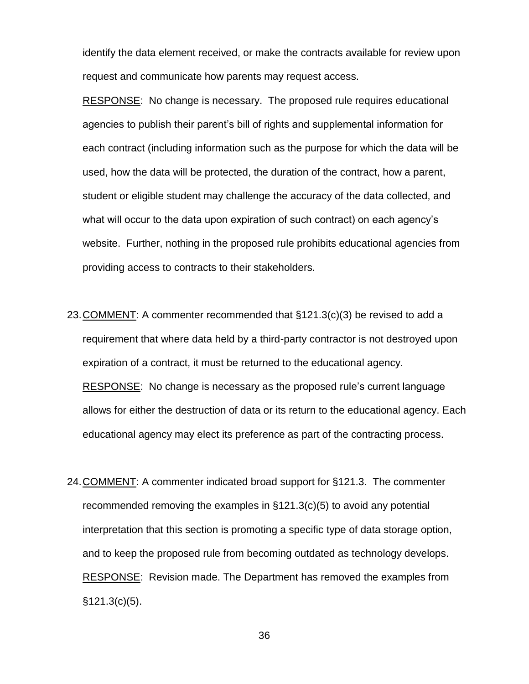identify the data element received, or make the contracts available for review upon request and communicate how parents may request access.

RESPONSE: No change is necessary. The proposed rule requires educational agencies to publish their parent's bill of rights and supplemental information for each contract (including information such as the purpose for which the data will be used, how the data will be protected, the duration of the contract, how a parent, student or eligible student may challenge the accuracy of the data collected, and what will occur to the data upon expiration of such contract) on each agency's website. Further, nothing in the proposed rule prohibits educational agencies from providing access to contracts to their stakeholders.

- 23.COMMENT: A commenter recommended that §121.3(c)(3) be revised to add a requirement that where data held by a third-party contractor is not destroyed upon expiration of a contract, it must be returned to the educational agency. RESPONSE: No change is necessary as the proposed rule's current language allows for either the destruction of data or its return to the educational agency. Each educational agency may elect its preference as part of the contracting process.
- 24.COMMENT: A commenter indicated broad support for §121.3. The commenter recommended removing the examples in §121.3(c)(5) to avoid any potential interpretation that this section is promoting a specific type of data storage option, and to keep the proposed rule from becoming outdated as technology develops. RESPONSE: Revision made. The Department has removed the examples from §121.3(c)(5).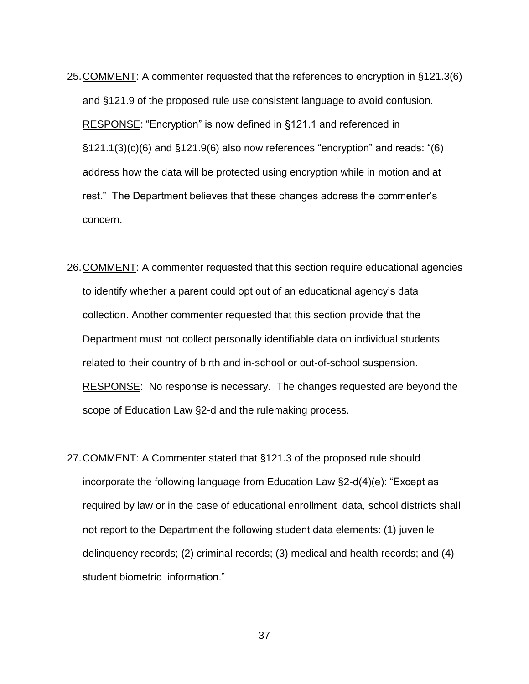- 25.COMMENT: A commenter requested that the references to encryption in §121.3(6) and §121.9 of the proposed rule use consistent language to avoid confusion. RESPONSE: "Encryption" is now defined in §121.1 and referenced in §121.1(3)(c)(6) and §121.9(6) also now references "encryption" and reads: "(6) address how the data will be protected using encryption while in motion and at rest." The Department believes that these changes address the commenter's concern.
- 26.COMMENT: A commenter requested that this section require educational agencies to identify whether a parent could opt out of an educational agency's data collection. Another commenter requested that this section provide that the Department must not collect personally identifiable data on individual students related to their country of birth and in-school or out-of-school suspension. RESPONSE: No response is necessary. The changes requested are beyond the scope of Education Law §2-d and the rulemaking process.
- 27.COMMENT: A Commenter stated that §121.3 of the proposed rule should incorporate the following language from Education Law §2-d(4)(e): "Except as required by law or in the case of educational enrollment data, school districts shall not report to the Department the following student data elements: (1) juvenile delinquency records; (2) criminal records; (3) medical and health records; and (4) student biometric information."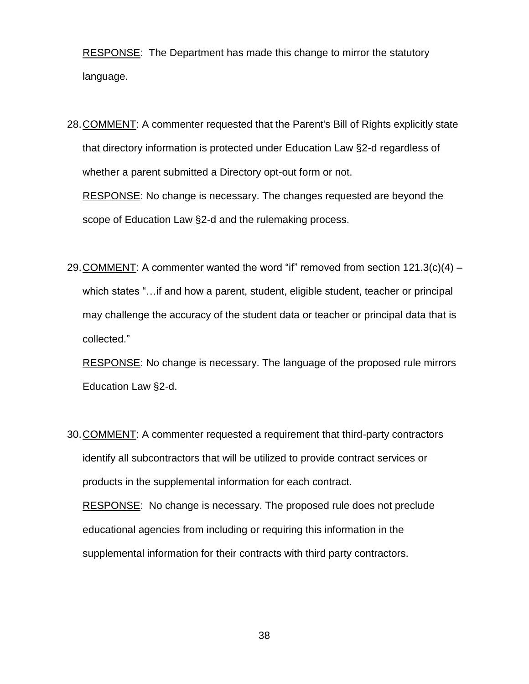RESPONSE: The Department has made this change to mirror the statutory language.

28.COMMENT: A commenter requested that the Parent's Bill of Rights explicitly state that directory information is protected under Education Law §2-d regardless of whether a parent submitted a Directory opt-out form or not.

RESPONSE: No change is necessary. The changes requested are beyond the scope of Education Law §2-d and the rulemaking process.

29. COMMENT: A commenter wanted the word "if" removed from section  $121.3(c)(4)$ which states "…if and how a parent, student, eligible student, teacher or principal may challenge the accuracy of the student data or teacher or principal data that is collected."

RESPONSE: No change is necessary. The language of the proposed rule mirrors Education Law §2-d.

30.COMMENT: A commenter requested a requirement that third-party contractors identify all subcontractors that will be utilized to provide contract services or products in the supplemental information for each contract. RESPONSE: No change is necessary. The proposed rule does not preclude educational agencies from including or requiring this information in the supplemental information for their contracts with third party contractors.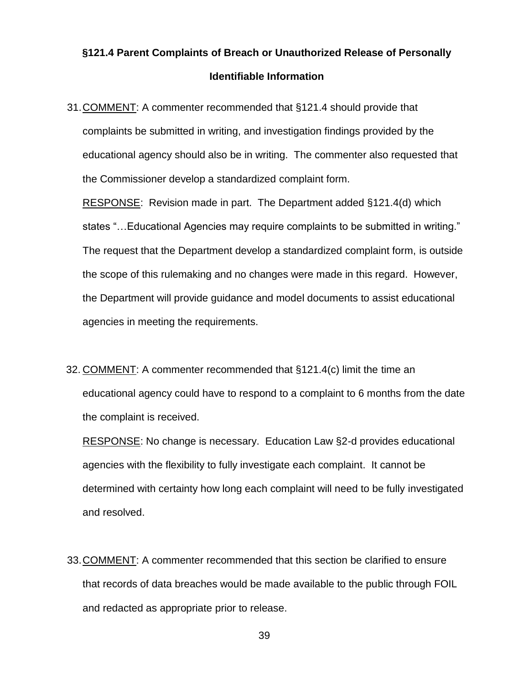## **§121.4 Parent Complaints of Breach or Unauthorized Release of Personally Identifiable Information**

31.COMMENT: A commenter recommended that §121.4 should provide that complaints be submitted in writing, and investigation findings provided by the educational agency should also be in writing. The commenter also requested that the Commissioner develop a standardized complaint form.

RESPONSE: Revision made in part. The Department added §121.4(d) which states "…Educational Agencies may require complaints to be submitted in writing." The request that the Department develop a standardized complaint form, is outside the scope of this rulemaking and no changes were made in this regard. However, the Department will provide guidance and model documents to assist educational agencies in meeting the requirements.

32. COMMENT: A commenter recommended that §121.4(c) limit the time an educational agency could have to respond to a complaint to 6 months from the date the complaint is received.

RESPONSE: No change is necessary. Education Law §2-d provides educational agencies with the flexibility to fully investigate each complaint. It cannot be determined with certainty how long each complaint will need to be fully investigated and resolved.

33.COMMENT: A commenter recommended that this section be clarified to ensure that records of data breaches would be made available to the public through FOIL and redacted as appropriate prior to release.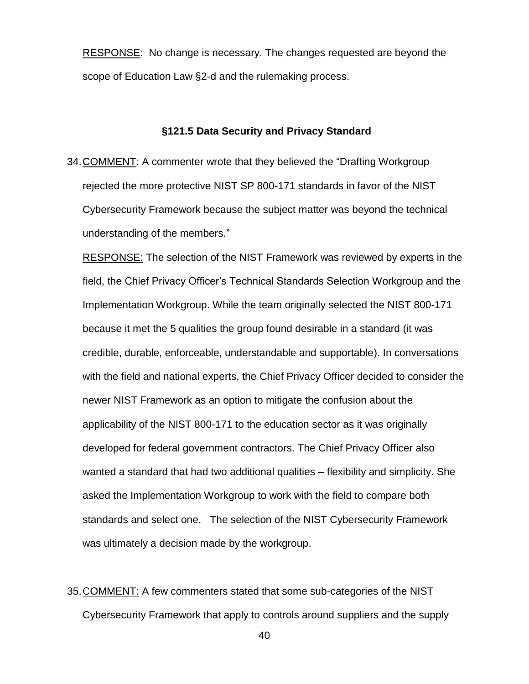RESPONSE: No change is necessary. The changes requested are beyond the scope of Education Law §2-d and the rulemaking process.

#### **§121.5 Data Security and Privacy Standard**

34.COMMENT: A commenter wrote that they believed the "Drafting Workgroup rejected the more protective NIST SP 800-171 standards in favor of the NIST Cybersecurity Framework because the subject matter was beyond the technical understanding of the members."

RESPONSE: The selection of the NIST Framework was reviewed by experts in the field, the Chief Privacy Officer's Technical Standards Selection Workgroup and the Implementation Workgroup. While the team originally selected the NIST 800-171 because it met the 5 qualities the group found desirable in a standard (it was credible, durable, enforceable, understandable and supportable). In conversations with the field and national experts, the Chief Privacy Officer decided to consider the newer NIST Framework as an option to mitigate the confusion about the applicability of the NIST 800-171 to the education sector as it was originally developed for federal government contractors. The Chief Privacy Officer also wanted a standard that had two additional qualities – flexibility and simplicity. She asked the Implementation Workgroup to work with the field to compare both standards and select one. The selection of the NIST Cybersecurity Framework was ultimately a decision made by the workgroup.

35.COMMENT: A few commenters stated that some sub-categories of the NIST Cybersecurity Framework that apply to controls around suppliers and the supply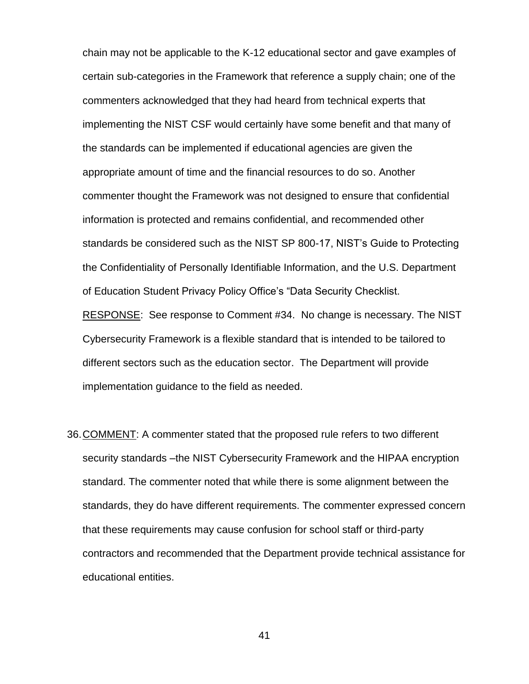chain may not be applicable to the K-12 educational sector and gave examples of certain sub-categories in the Framework that reference a supply chain; one of the commenters acknowledged that they had heard from technical experts that implementing the NIST CSF would certainly have some benefit and that many of the standards can be implemented if educational agencies are given the appropriate amount of time and the financial resources to do so. Another commenter thought the Framework was not designed to ensure that confidential information is protected and remains confidential, and recommended other standards be considered such as the NIST SP 800-17, NIST's Guide to Protecting the Confidentiality of Personally Identifiable Information, and the U.S. Department of Education Student Privacy Policy Office's "Data Security Checklist. RESPONSE: See response to Comment #34. No change is necessary. The NIST Cybersecurity Framework is a flexible standard that is intended to be tailored to different sectors such as the education sector. The Department will provide implementation guidance to the field as needed.

36.COMMENT: A commenter stated that the proposed rule refers to two different security standards –the NIST Cybersecurity Framework and the HIPAA encryption standard. The commenter noted that while there is some alignment between the standards, they do have different requirements. The commenter expressed concern that these requirements may cause confusion for school staff or third-party contractors and recommended that the Department provide technical assistance for educational entities.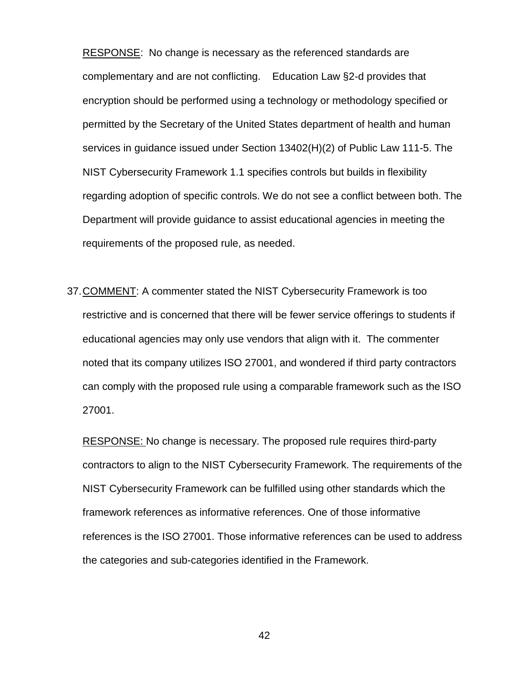RESPONSE: No change is necessary as the referenced standards are complementary and are not conflicting. Education Law §2-d provides that encryption should be performed using a technology or methodology specified or permitted by the Secretary of the United States department of health and human services in guidance issued under Section 13402(H)(2) of Public Law 111-5. The NIST Cybersecurity Framework 1.1 specifies controls but builds in flexibility regarding adoption of specific controls. We do not see a conflict between both. The Department will provide guidance to assist educational agencies in meeting the requirements of the proposed rule, as needed.

37.COMMENT: A commenter stated the NIST Cybersecurity Framework is too restrictive and is concerned that there will be fewer service offerings to students if educational agencies may only use vendors that align with it. The commenter noted that its company utilizes ISO 27001, and wondered if third party contractors can comply with the proposed rule using a comparable framework such as the ISO 27001.

RESPONSE: No change is necessary. The proposed rule requires third-party contractors to align to the NIST Cybersecurity Framework. The requirements of the NIST Cybersecurity Framework can be fulfilled using other standards which the framework references as informative references. One of those informative references is the ISO 27001. Those informative references can be used to address the categories and sub-categories identified in the Framework.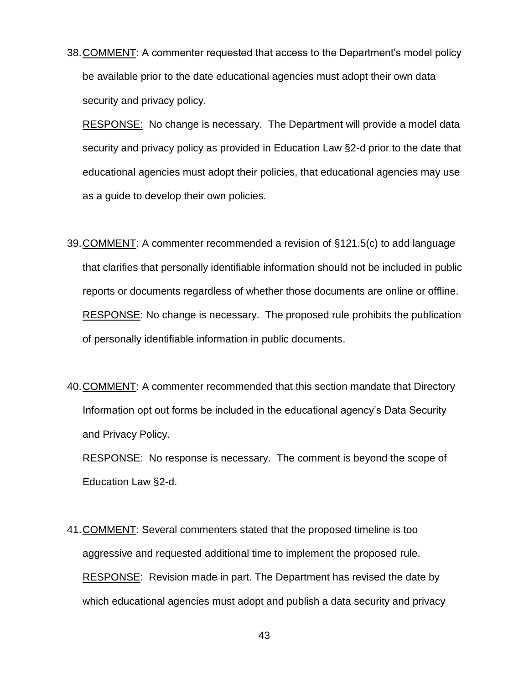38.COMMENT: A commenter requested that access to the Department's model policy be available prior to the date educational agencies must adopt their own data security and privacy policy.

RESPONSE: No change is necessary. The Department will provide a model data security and privacy policy as provided in Education Law §2-d prior to the date that educational agencies must adopt their policies, that educational agencies may use as a guide to develop their own policies.

- 39.COMMENT: A commenter recommended a revision of §121.5(c) to add language that clarifies that personally identifiable information should not be included in public reports or documents regardless of whether those documents are online or offline. RESPONSE: No change is necessary. The proposed rule prohibits the publication of personally identifiable information in public documents.
- 40.COMMENT: A commenter recommended that this section mandate that Directory Information opt out forms be included in the educational agency's Data Security and Privacy Policy.

RESPONSE: No response is necessary. The comment is beyond the scope of Education Law §2-d.

41.COMMENT: Several commenters stated that the proposed timeline is too aggressive and requested additional time to implement the proposed rule. RESPONSE: Revision made in part. The Department has revised the date by which educational agencies must adopt and publish a data security and privacy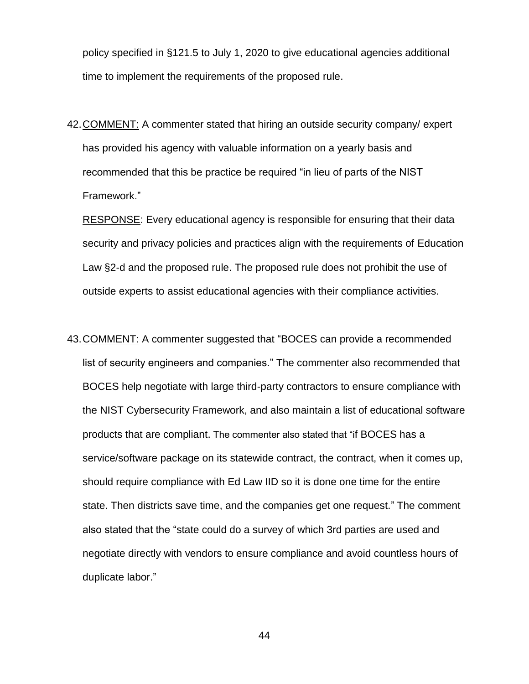policy specified in §121.5 to July 1, 2020 to give educational agencies additional time to implement the requirements of the proposed rule.

42.COMMENT: A commenter stated that hiring an outside security company/ expert has provided his agency with valuable information on a yearly basis and recommended that this be practice be required "in lieu of parts of the NIST Framework."

RESPONSE: Every educational agency is responsible for ensuring that their data security and privacy policies and practices align with the requirements of Education Law §2-d and the proposed rule. The proposed rule does not prohibit the use of outside experts to assist educational agencies with their compliance activities.

43.COMMENT: A commenter suggested that "BOCES can provide a recommended list of security engineers and companies." The commenter also recommended that BOCES help negotiate with large third-party contractors to ensure compliance with the NIST Cybersecurity Framework, and also maintain a list of educational software products that are compliant. The commenter also stated that "if BOCES has a service/software package on its statewide contract, the contract, when it comes up, should require compliance with Ed Law IID so it is done one time for the entire state. Then districts save time, and the companies get one request." The comment also stated that the "state could do a survey of which 3rd parties are used and negotiate directly with vendors to ensure compliance and avoid countless hours of duplicate labor."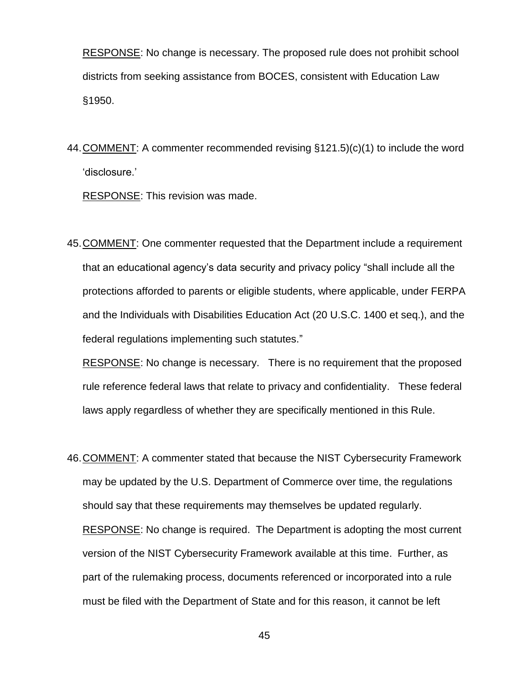RESPONSE: No change is necessary. The proposed rule does not prohibit school districts from seeking assistance from BOCES, consistent with Education Law §1950.

44.COMMENT: A commenter recommended revising §121.5)(c)(1) to include the word 'disclosure.'

RESPONSE: This revision was made.

45.COMMENT: One commenter requested that the Department include a requirement that an educational agency's data security and privacy policy "shall include all the protections afforded to parents or eligible students, where applicable, under FERPA and the Individuals with Disabilities Education Act (20 U.S.C. 1400 et seq.), and the federal regulations implementing such statutes."

RESPONSE: No change is necessary. There is no requirement that the proposed rule reference federal laws that relate to privacy and confidentiality. These federal laws apply regardless of whether they are specifically mentioned in this Rule.

46.COMMENT: A commenter stated that because the NIST Cybersecurity Framework may be updated by the U.S. Department of Commerce over time, the regulations should say that these requirements may themselves be updated regularly. RESPONSE: No change is required. The Department is adopting the most current version of the NIST Cybersecurity Framework available at this time. Further, as part of the rulemaking process, documents referenced or incorporated into a rule must be filed with the Department of State and for this reason, it cannot be left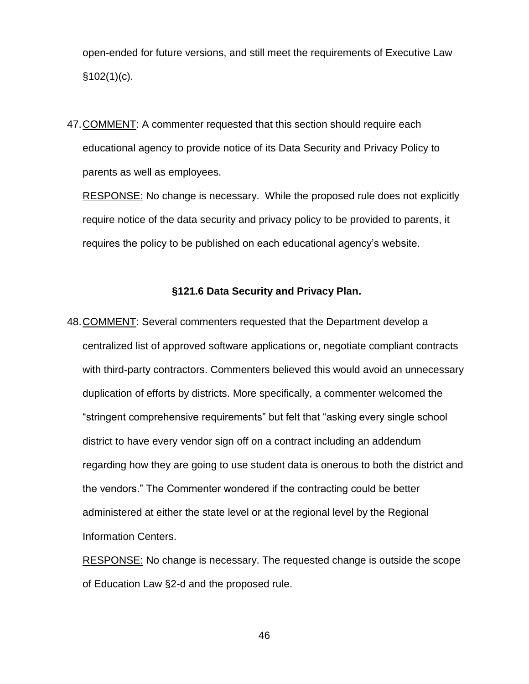open-ended for future versions, and still meet the requirements of Executive Law  $$102(1)(c)$ .

47.COMMENT: A commenter requested that this section should require each educational agency to provide notice of its Data Security and Privacy Policy to parents as well as employees.

RESPONSE: No change is necessary. While the proposed rule does not explicitly require notice of the data security and privacy policy to be provided to parents, it requires the policy to be published on each educational agency's website.

### **§121.6 Data Security and Privacy Plan.**

48.COMMENT: Several commenters requested that the Department develop a centralized list of approved software applications or, negotiate compliant contracts with third-party contractors. Commenters believed this would avoid an unnecessary duplication of efforts by districts. More specifically, a commenter welcomed the "stringent comprehensive requirements" but felt that "asking every single school district to have every vendor sign off on a contract including an addendum regarding how they are going to use student data is onerous to both the district and the vendors." The Commenter wondered if the contracting could be better administered at either the state level or at the regional level by the Regional Information Centers.

RESPONSE: No change is necessary. The requested change is outside the scope of Education Law §2-d and the proposed rule.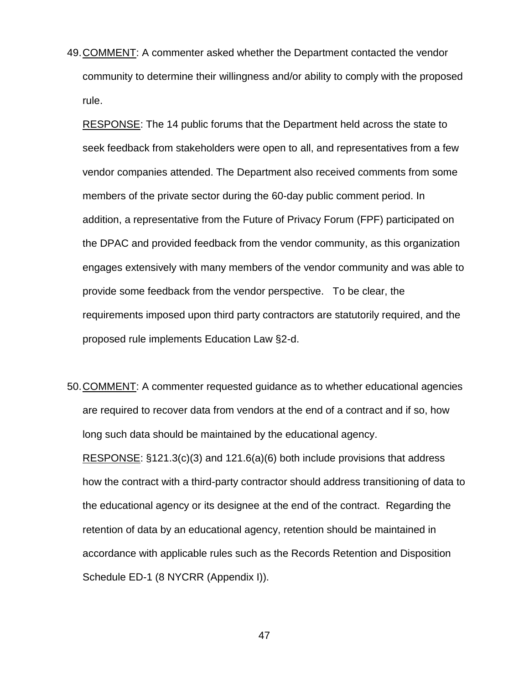49.COMMENT: A commenter asked whether the Department contacted the vendor community to determine their willingness and/or ability to comply with the proposed rule.

RESPONSE: The 14 public forums that the Department held across the state to seek feedback from stakeholders were open to all, and representatives from a few vendor companies attended. The Department also received comments from some members of the private sector during the 60-day public comment period. In addition, a representative from the Future of Privacy Forum (FPF) participated on the DPAC and provided feedback from the vendor community, as this organization engages extensively with many members of the vendor community and was able to provide some feedback from the vendor perspective. To be clear, the requirements imposed upon third party contractors are statutorily required, and the proposed rule implements Education Law §2-d.

50.COMMENT: A commenter requested guidance as to whether educational agencies are required to recover data from vendors at the end of a contract and if so, how long such data should be maintained by the educational agency. RESPONSE: §121.3(c)(3) and 121.6(a)(6) both include provisions that address how the contract with a third-party contractor should address transitioning of data to the educational agency or its designee at the end of the contract. Regarding the retention of data by an educational agency, retention should be maintained in accordance with applicable rules such as the Records Retention and Disposition Schedule ED-1 (8 NYCRR (Appendix I)).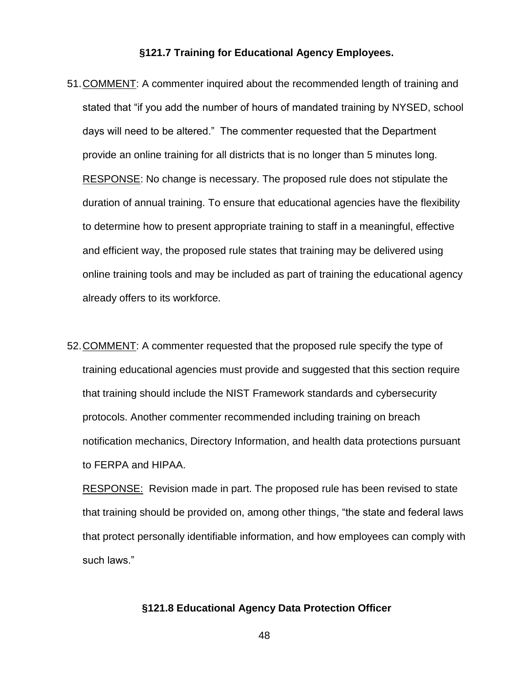### **§121.7 Training for Educational Agency Employees.**

- 51.COMMENT: A commenter inquired about the recommended length of training and stated that "if you add the number of hours of mandated training by NYSED, school days will need to be altered." The commenter requested that the Department provide an online training for all districts that is no longer than 5 minutes long. RESPONSE: No change is necessary. The proposed rule does not stipulate the duration of annual training. To ensure that educational agencies have the flexibility to determine how to present appropriate training to staff in a meaningful, effective and efficient way, the proposed rule states that training may be delivered using online training tools and may be included as part of training the educational agency already offers to its workforce.
- 52.COMMENT: A commenter requested that the proposed rule specify the type of training educational agencies must provide and suggested that this section require that training should include the NIST Framework standards and cybersecurity protocols. Another commenter recommended including training on breach notification mechanics, Directory Information, and health data protections pursuant to FERPA and HIPAA.

**RESPONSE:** Revision made in part. The proposed rule has been revised to state that training should be provided on, among other things, "the state and federal laws that protect personally identifiable information, and how employees can comply with such laws."

### **§121.8 Educational Agency Data Protection Officer**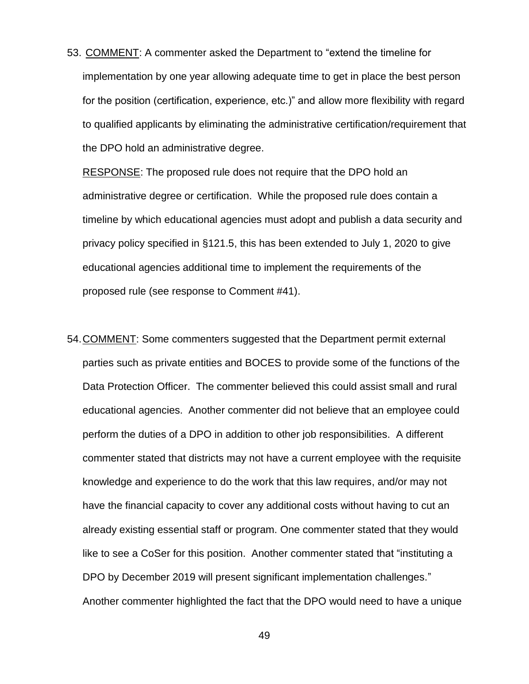53. COMMENT: A commenter asked the Department to "extend the timeline for implementation by one year allowing adequate time to get in place the best person for the position (certification, experience, etc.)" and allow more flexibility with regard to qualified applicants by eliminating the administrative certification/requirement that the DPO hold an administrative degree.

RESPONSE: The proposed rule does not require that the DPO hold an administrative degree or certification. While the proposed rule does contain a timeline by which educational agencies must adopt and publish a data security and privacy policy specified in §121.5, this has been extended to July 1, 2020 to give educational agencies additional time to implement the requirements of the proposed rule (see response to Comment #41).

54.COMMENT: Some commenters suggested that the Department permit external parties such as private entities and BOCES to provide some of the functions of the Data Protection Officer. The commenter believed this could assist small and rural educational agencies. Another commenter did not believe that an employee could perform the duties of a DPO in addition to other job responsibilities. A different commenter stated that districts may not have a current employee with the requisite knowledge and experience to do the work that this law requires, and/or may not have the financial capacity to cover any additional costs without having to cut an already existing essential staff or program. One commenter stated that they would like to see a CoSer for this position. Another commenter stated that "instituting a DPO by December 2019 will present significant implementation challenges." Another commenter highlighted the fact that the DPO would need to have a unique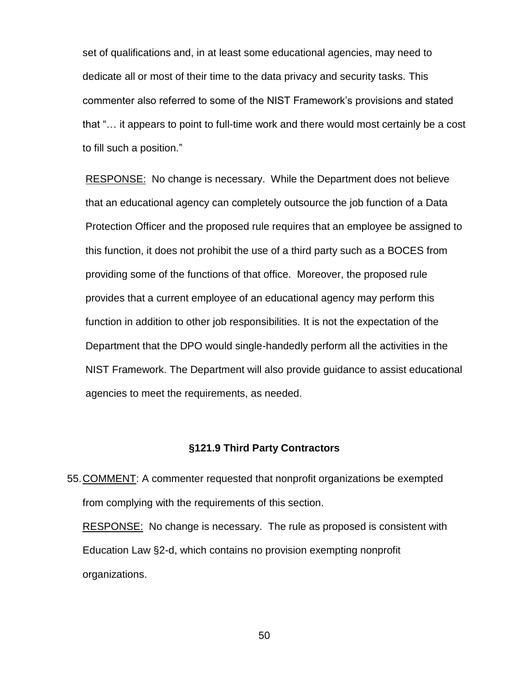set of qualifications and, in at least some educational agencies, may need to dedicate all or most of their time to the data privacy and security tasks. This commenter also referred to some of the NIST Framework's provisions and stated that "… it appears to point to full-time work and there would most certainly be a cost to fill such a position."

RESPONSE: No change is necessary. While the Department does not believe that an educational agency can completely outsource the job function of a Data Protection Officer and the proposed rule requires that an employee be assigned to this function, it does not prohibit the use of a third party such as a BOCES from providing some of the functions of that office. Moreover, the proposed rule provides that a current employee of an educational agency may perform this function in addition to other job responsibilities. It is not the expectation of the Department that the DPO would single-handedly perform all the activities in the NIST Framework. The Department will also provide guidance to assist educational agencies to meet the requirements, as needed.

### **§121.9 Third Party Contractors**

55.COMMENT: A commenter requested that nonprofit organizations be exempted from complying with the requirements of this section.

RESPONSE: No change is necessary. The rule as proposed is consistent with Education Law §2-d, which contains no provision exempting nonprofit organizations.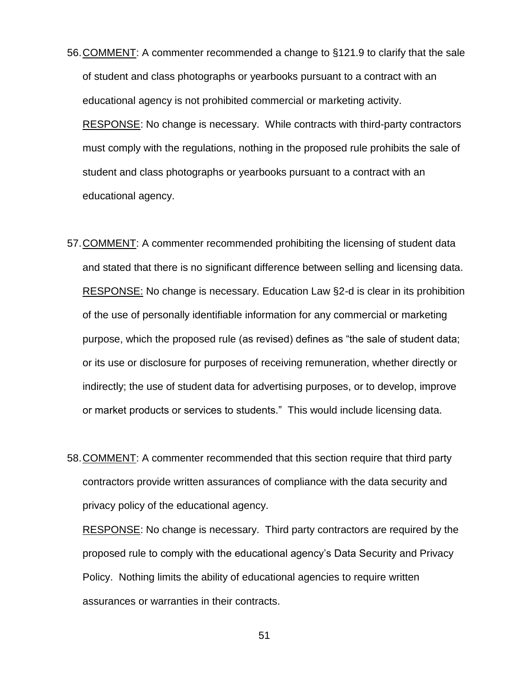- 56.COMMENT: A commenter recommended a change to §121.9 to clarify that the sale of student and class photographs or yearbooks pursuant to a contract with an educational agency is not prohibited commercial or marketing activity. RESPONSE: No change is necessary. While contracts with third-party contractors must comply with the regulations, nothing in the proposed rule prohibits the sale of student and class photographs or yearbooks pursuant to a contract with an educational agency.
- 57.COMMENT: A commenter recommended prohibiting the licensing of student data and stated that there is no significant difference between selling and licensing data. RESPONSE: No change is necessary. Education Law §2-d is clear in its prohibition of the use of personally identifiable information for any commercial or marketing purpose, which the proposed rule (as revised) defines as "the sale of student data; or its use or disclosure for purposes of receiving remuneration, whether directly or indirectly; the use of student data for advertising purposes, or to develop, improve or market products or services to students." This would include licensing data.
- 58.COMMENT: A commenter recommended that this section require that third party contractors provide written assurances of compliance with the data security and privacy policy of the educational agency.

RESPONSE: No change is necessary. Third party contractors are required by the proposed rule to comply with the educational agency's Data Security and Privacy Policy. Nothing limits the ability of educational agencies to require written assurances or warranties in their contracts.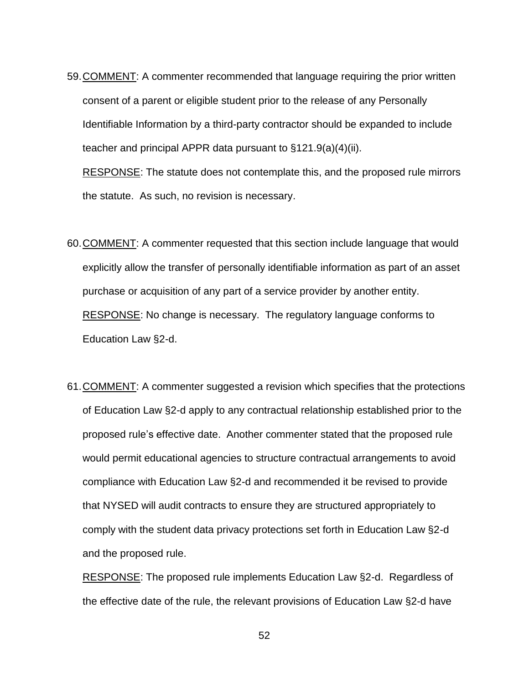59.COMMENT: A commenter recommended that language requiring the prior written consent of a parent or eligible student prior to the release of any Personally Identifiable Information by a third-party contractor should be expanded to include teacher and principal APPR data pursuant to §121.9(a)(4)(ii).

RESPONSE: The statute does not contemplate this, and the proposed rule mirrors the statute. As such, no revision is necessary.

- 60.COMMENT: A commenter requested that this section include language that would explicitly allow the transfer of personally identifiable information as part of an asset purchase or acquisition of any part of a service provider by another entity. RESPONSE: No change is necessary. The regulatory language conforms to Education Law §2-d.
- 61.COMMENT: A commenter suggested a revision which specifies that the protections of Education Law §2-d apply to any contractual relationship established prior to the proposed rule's effective date. Another commenter stated that the proposed rule would permit educational agencies to structure contractual arrangements to avoid compliance with Education Law §2-d and recommended it be revised to provide that NYSED will audit contracts to ensure they are structured appropriately to comply with the student data privacy protections set forth in Education Law §2-d and the proposed rule.

RESPONSE: The proposed rule implements Education Law §2-d. Regardless of the effective date of the rule, the relevant provisions of Education Law §2-d have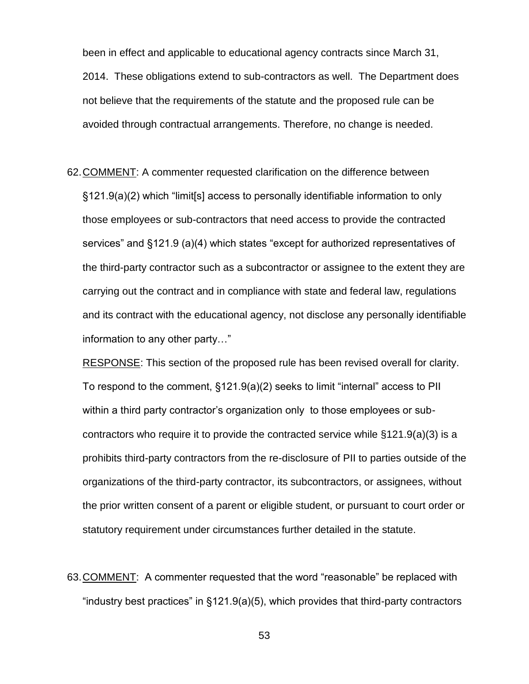been in effect and applicable to educational agency contracts since March 31, 2014. These obligations extend to sub-contractors as well. The Department does not believe that the requirements of the statute and the proposed rule can be avoided through contractual arrangements. Therefore, no change is needed.

62.COMMENT: A commenter requested clarification on the difference between §121.9(a)(2) which "limit[s] access to personally identifiable information to only those employees or sub-contractors that need access to provide the contracted services" and §121.9 (a)(4) which states "except for authorized representatives of the third-party contractor such as a subcontractor or assignee to the extent they are carrying out the contract and in compliance with state and federal law, regulations and its contract with the educational agency, not disclose any personally identifiable information to any other party…"

RESPONSE: This section of the proposed rule has been revised overall for clarity. To respond to the comment, §121.9(a)(2) seeks to limit "internal" access to PII within a third party contractor's organization only to those employees or subcontractors who require it to provide the contracted service while §121.9(a)(3) is a prohibits third-party contractors from the re-disclosure of PII to parties outside of the organizations of the third-party contractor, its subcontractors, or assignees, without the prior written consent of a parent or eligible student, or pursuant to court order or statutory requirement under circumstances further detailed in the statute.

63.COMMENT: A commenter requested that the word "reasonable" be replaced with "industry best practices" in §121.9(a)(5), which provides that third-party contractors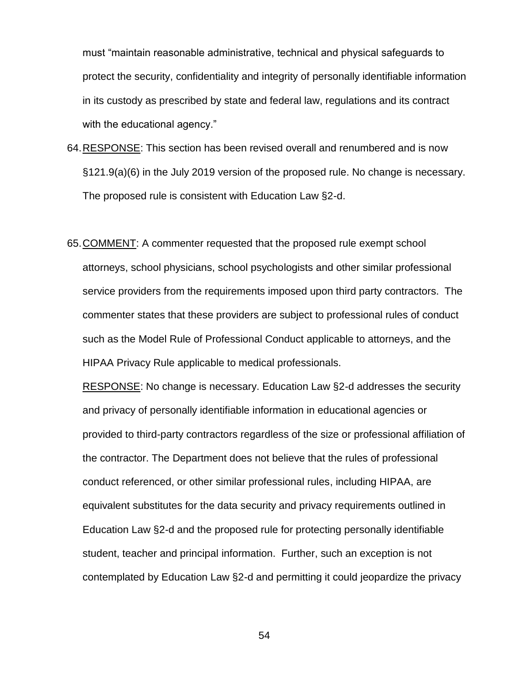must "maintain reasonable administrative, technical and physical safeguards to protect the security, confidentiality and integrity of personally identifiable information in its custody as prescribed by state and federal law, regulations and its contract with the educational agency."

- 64.RESPONSE: This section has been revised overall and renumbered and is now §121.9(a)(6) in the July 2019 version of the proposed rule. No change is necessary. The proposed rule is consistent with Education Law §2-d.
- 65.COMMENT: A commenter requested that the proposed rule exempt school attorneys, school physicians, school psychologists and other similar professional service providers from the requirements imposed upon third party contractors. The commenter states that these providers are subject to professional rules of conduct such as the Model Rule of Professional Conduct applicable to attorneys, and the HIPAA Privacy Rule applicable to medical professionals.

RESPONSE: No change is necessary. Education Law §2-d addresses the security and privacy of personally identifiable information in educational agencies or provided to third-party contractors regardless of the size or professional affiliation of the contractor. The Department does not believe that the rules of professional conduct referenced, or other similar professional rules, including HIPAA, are equivalent substitutes for the data security and privacy requirements outlined in Education Law §2-d and the proposed rule for protecting personally identifiable student, teacher and principal information. Further, such an exception is not contemplated by Education Law §2-d and permitting it could jeopardize the privacy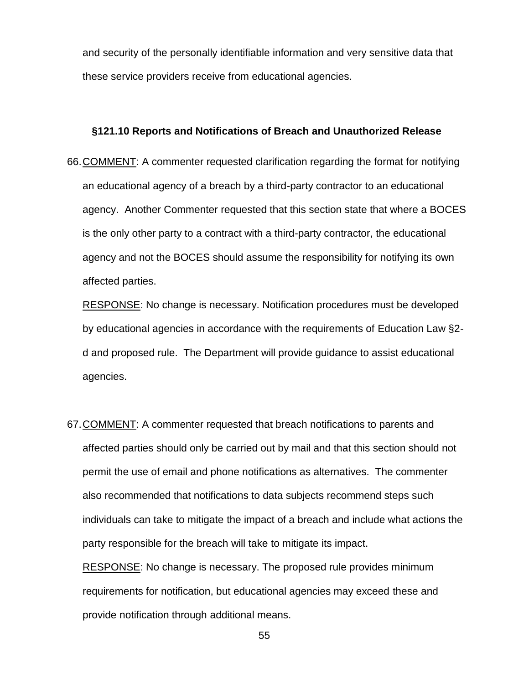and security of the personally identifiable information and very sensitive data that these service providers receive from educational agencies.

### **§121.10 Reports and Notifications of Breach and Unauthorized Release**

66.COMMENT: A commenter requested clarification regarding the format for notifying an educational agency of a breach by a third-party contractor to an educational agency. Another Commenter requested that this section state that where a BOCES is the only other party to a contract with a third-party contractor, the educational agency and not the BOCES should assume the responsibility for notifying its own affected parties.

RESPONSE: No change is necessary. Notification procedures must be developed by educational agencies in accordance with the requirements of Education Law §2 d and proposed rule. The Department will provide guidance to assist educational agencies.

67.COMMENT: A commenter requested that breach notifications to parents and affected parties should only be carried out by mail and that this section should not permit the use of email and phone notifications as alternatives. The commenter also recommended that notifications to data subjects recommend steps such individuals can take to mitigate the impact of a breach and include what actions the party responsible for the breach will take to mitigate its impact.

RESPONSE: No change is necessary. The proposed rule provides minimum requirements for notification, but educational agencies may exceed these and provide notification through additional means.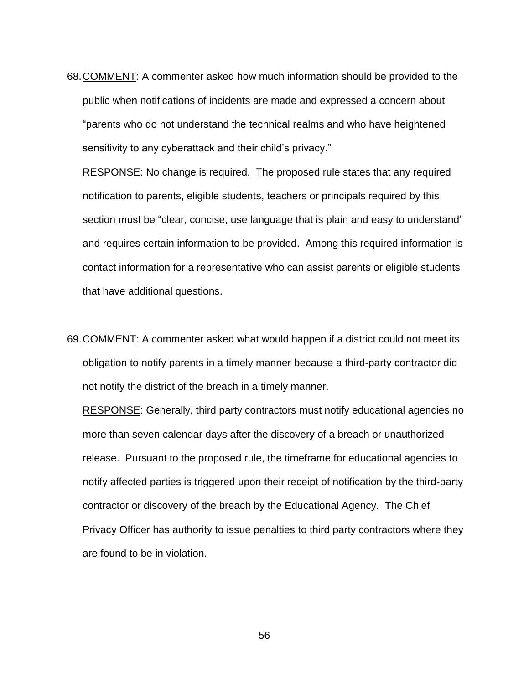68.COMMENT: A commenter asked how much information should be provided to the public when notifications of incidents are made and expressed a concern about "parents who do not understand the technical realms and who have heightened sensitivity to any cyberattack and their child's privacy."

RESPONSE: No change is required. The proposed rule states that any required notification to parents, eligible students, teachers or principals required by this section must be "clear, concise, use language that is plain and easy to understand" and requires certain information to be provided. Among this required information is contact information for a representative who can assist parents or eligible students that have additional questions.

69.COMMENT: A commenter asked what would happen if a district could not meet its obligation to notify parents in a timely manner because a third-party contractor did not notify the district of the breach in a timely manner.

RESPONSE: Generally, third party contractors must notify educational agencies no more than seven calendar days after the discovery of a breach or unauthorized release. Pursuant to the proposed rule, the timeframe for educational agencies to notify affected parties is triggered upon their receipt of notification by the third-party contractor or discovery of the breach by the Educational Agency. The Chief Privacy Officer has authority to issue penalties to third party contractors where they are found to be in violation.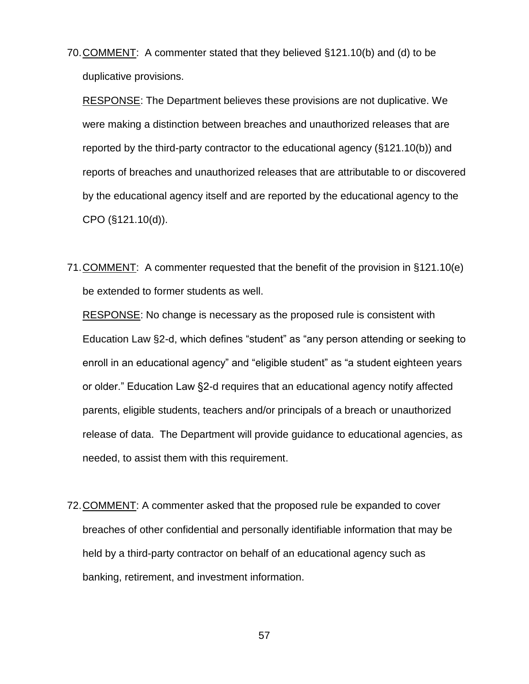70.COMMENT: A commenter stated that they believed §121.10(b) and (d) to be duplicative provisions.

RESPONSE: The Department believes these provisions are not duplicative. We were making a distinction between breaches and unauthorized releases that are reported by the third-party contractor to the educational agency (§121.10(b)) and reports of breaches and unauthorized releases that are attributable to or discovered by the educational agency itself and are reported by the educational agency to the CPO (§121.10(d)).

71.COMMENT: A commenter requested that the benefit of the provision in §121.10(e) be extended to former students as well.

RESPONSE: No change is necessary as the proposed rule is consistent with Education Law §2-d, which defines "student" as "any person attending or seeking to enroll in an educational agency" and "eligible student" as "a student eighteen years or older." Education Law §2-d requires that an educational agency notify affected parents, eligible students, teachers and/or principals of a breach or unauthorized release of data. The Department will provide guidance to educational agencies, as needed, to assist them with this requirement.

72.COMMENT: A commenter asked that the proposed rule be expanded to cover breaches of other confidential and personally identifiable information that may be held by a third-party contractor on behalf of an educational agency such as banking, retirement, and investment information.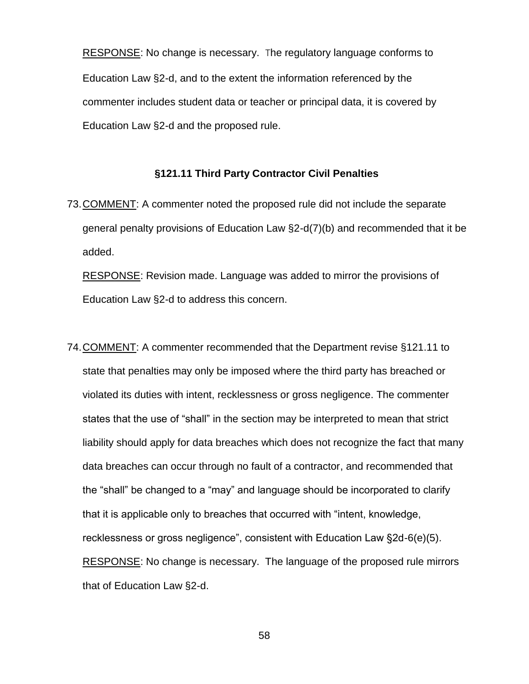RESPONSE: No change is necessary. The regulatory language conforms to Education Law §2-d, and to the extent the information referenced by the commenter includes student data or teacher or principal data, it is covered by Education Law §2-d and the proposed rule.

### **§121.11 Third Party Contractor Civil Penalties**

73.COMMENT: A commenter noted the proposed rule did not include the separate general penalty provisions of Education Law §2-d(7)(b) and recommended that it be added.

RESPONSE: Revision made. Language was added to mirror the provisions of Education Law §2-d to address this concern.

74.COMMENT: A commenter recommended that the Department revise §121.11 to state that penalties may only be imposed where the third party has breached or violated its duties with intent, recklessness or gross negligence. The commenter states that the use of "shall" in the section may be interpreted to mean that strict liability should apply for data breaches which does not recognize the fact that many data breaches can occur through no fault of a contractor, and recommended that the "shall" be changed to a "may" and language should be incorporated to clarify that it is applicable only to breaches that occurred with "intent, knowledge, recklessness or gross negligence", consistent with Education Law §2d-6(e)(5). RESPONSE: No change is necessary. The language of the proposed rule mirrors that of Education Law §2-d.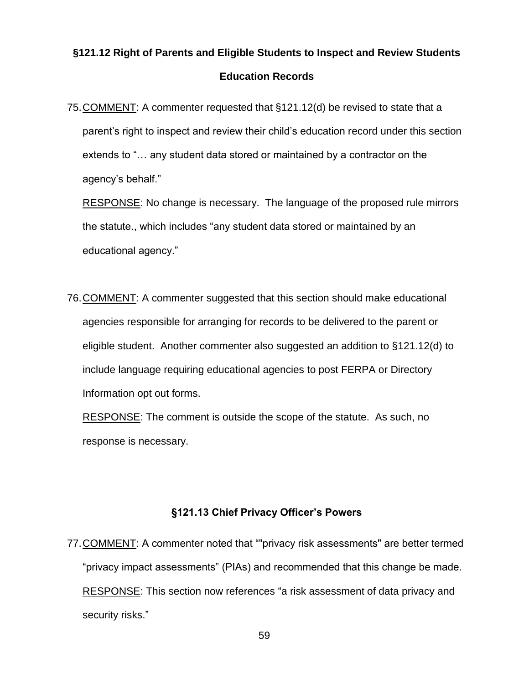## **§121.12 Right of Parents and Eligible Students to Inspect and Review Students Education Records**

75.COMMENT: A commenter requested that §121.12(d) be revised to state that a parent's right to inspect and review their child's education record under this section extends to "… any student data stored or maintained by a contractor on the agency's behalf."

RESPONSE: No change is necessary. The language of the proposed rule mirrors the statute., which includes "any student data stored or maintained by an educational agency."

76.COMMENT: A commenter suggested that this section should make educational agencies responsible for arranging for records to be delivered to the parent or eligible student. Another commenter also suggested an addition to §121.12(d) to include language requiring educational agencies to post FERPA or Directory Information opt out forms.

RESPONSE: The comment is outside the scope of the statute. As such, no response is necessary.

## **§121.13 Chief Privacy Officer's Powers**

77.COMMENT: A commenter noted that ""privacy risk assessments" are better termed "privacy impact assessments" (PIAs) and recommended that this change be made. RESPONSE: This section now references "a risk assessment of data privacy and security risks."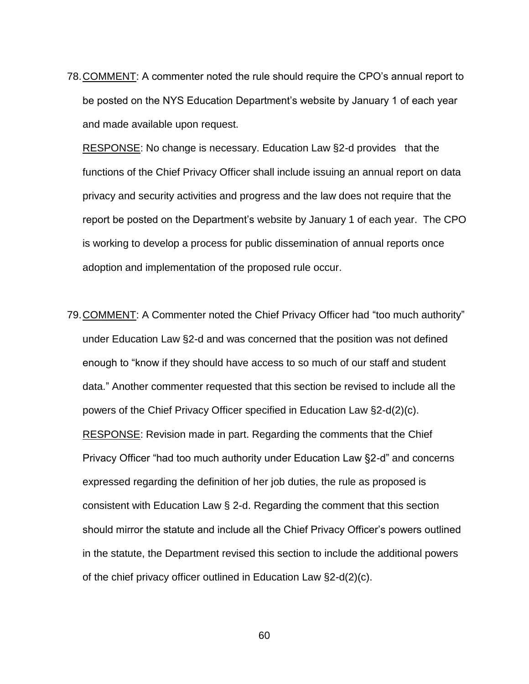78.COMMENT: A commenter noted the rule should require the CPO's annual report to be posted on the NYS Education Department's website by January 1 of each year and made available upon request.

RESPONSE: No change is necessary. Education Law §2-d provides that the functions of the Chief Privacy Officer shall include issuing an annual report on data privacy and security activities and progress and the law does not require that the report be posted on the Department's website by January 1 of each year. The CPO is working to develop a process for public dissemination of annual reports once adoption and implementation of the proposed rule occur.

79.COMMENT: A Commenter noted the Chief Privacy Officer had "too much authority" under Education Law §2-d and was concerned that the position was not defined enough to "know if they should have access to so much of our staff and student data." Another commenter requested that this section be revised to include all the powers of the Chief Privacy Officer specified in Education Law §2-d(2)(c). RESPONSE: Revision made in part. Regarding the comments that the Chief Privacy Officer "had too much authority under Education Law §2-d" and concerns expressed regarding the definition of her job duties, the rule as proposed is consistent with Education Law § 2-d. Regarding the comment that this section should mirror the statute and include all the Chief Privacy Officer's powers outlined in the statute, the Department revised this section to include the additional powers of the chief privacy officer outlined in Education Law §2-d(2)(c).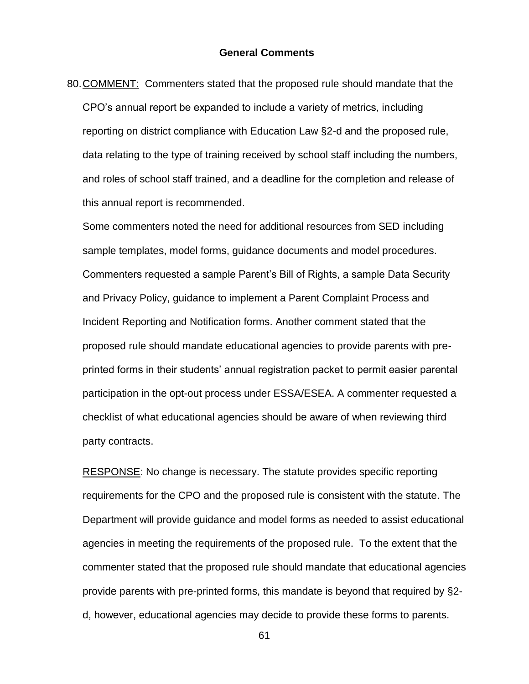80.COMMENT: Commenters stated that the proposed rule should mandate that the CPO's annual report be expanded to include a variety of metrics, including reporting on district compliance with Education Law §2-d and the proposed rule, data relating to the type of training received by school staff including the numbers, and roles of school staff trained, and a deadline for the completion and release of this annual report is recommended.

Some commenters noted the need for additional resources from SED including sample templates, model forms, guidance documents and model procedures. Commenters requested a sample Parent's Bill of Rights, a sample Data Security and Privacy Policy, guidance to implement a Parent Complaint Process and Incident Reporting and Notification forms. Another comment stated that the proposed rule should mandate educational agencies to provide parents with preprinted forms in their students' annual registration packet to permit easier parental participation in the opt-out process under ESSA/ESEA. A commenter requested a checklist of what educational agencies should be aware of when reviewing third party contracts.

RESPONSE: No change is necessary. The statute provides specific reporting requirements for the CPO and the proposed rule is consistent with the statute. The Department will provide guidance and model forms as needed to assist educational agencies in meeting the requirements of the proposed rule. To the extent that the commenter stated that the proposed rule should mandate that educational agencies provide parents with pre-printed forms, this mandate is beyond that required by §2 d, however, educational agencies may decide to provide these forms to parents.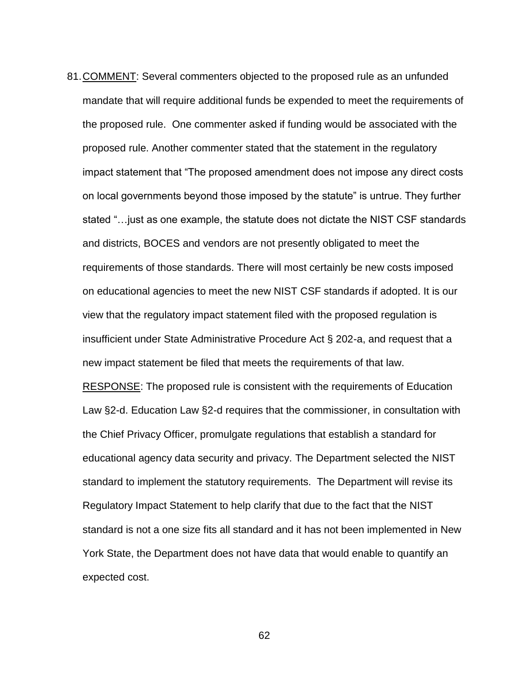81.COMMENT: Several commenters objected to the proposed rule as an unfunded mandate that will require additional funds be expended to meet the requirements of the proposed rule. One commenter asked if funding would be associated with the proposed rule. Another commenter stated that the statement in the regulatory impact statement that "The proposed amendment does not impose any direct costs on local governments beyond those imposed by the statute" is untrue. They further stated "…just as one example, the statute does not dictate the NIST CSF standards and districts, BOCES and vendors are not presently obligated to meet the requirements of those standards. There will most certainly be new costs imposed on educational agencies to meet the new NIST CSF standards if adopted. It is our view that the regulatory impact statement filed with the proposed regulation is insufficient under State Administrative Procedure Act § 202-a, and request that a new impact statement be filed that meets the requirements of that law. RESPONSE: The proposed rule is consistent with the requirements of Education Law §2-d. Education Law §2-d requires that the commissioner, in consultation with the Chief Privacy Officer, promulgate regulations that establish a standard for educational agency data security and privacy. The Department selected the NIST standard to implement the statutory requirements. The Department will revise its Regulatory Impact Statement to help clarify that due to the fact that the NIST standard is not a one size fits all standard and it has not been implemented in New York State, the Department does not have data that would enable to quantify an expected cost.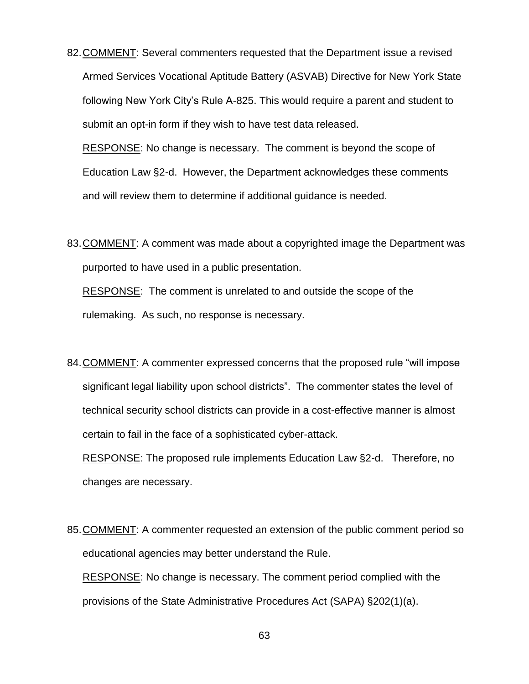82.COMMENT: Several commenters requested that the Department issue a revised Armed Services Vocational Aptitude Battery (ASVAB) Directive for New York State following New York City's Rule A-825. This would require a parent and student to submit an opt-in form if they wish to have test data released.

RESPONSE: No change is necessary. The comment is beyond the scope of Education Law §2-d. However, the Department acknowledges these comments and will review them to determine if additional guidance is needed.

83.COMMENT: A comment was made about a copyrighted image the Department was purported to have used in a public presentation.

RESPONSE: The comment is unrelated to and outside the scope of the rulemaking. As such, no response is necessary.

84.COMMENT: A commenter expressed concerns that the proposed rule "will impose significant legal liability upon school districts". The commenter states the level of technical security school districts can provide in a cost-effective manner is almost certain to fail in the face of a sophisticated cyber-attack.

RESPONSE: The proposed rule implements Education Law §2-d. Therefore, no changes are necessary.

85.COMMENT: A commenter requested an extension of the public comment period so educational agencies may better understand the Rule.

RESPONSE: No change is necessary. The comment period complied with the provisions of the State Administrative Procedures Act (SAPA) §202(1)(a).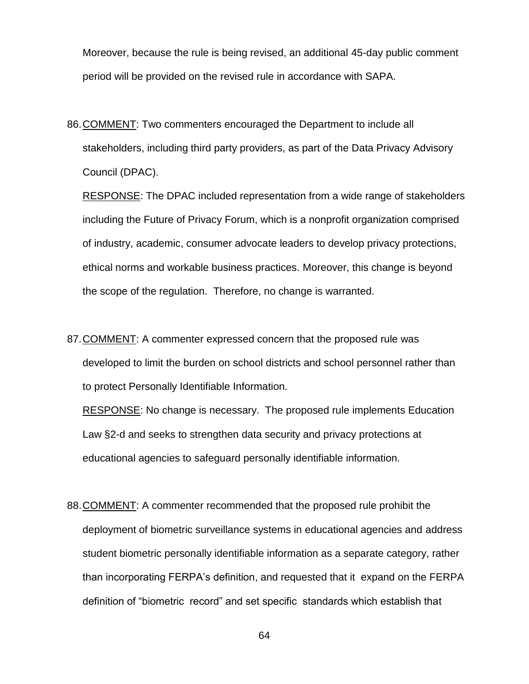Moreover, because the rule is being revised, an additional 45-day public comment period will be provided on the revised rule in accordance with SAPA.

86.COMMENT: Two commenters encouraged the Department to include all stakeholders, including third party providers, as part of the Data Privacy Advisory Council (DPAC).

RESPONSE: The DPAC included representation from a wide range of stakeholders including the Future of Privacy Forum, which is a nonprofit organization comprised of industry, academic, consumer advocate leaders to develop privacy protections, ethical norms and workable business practices. Moreover, this change is beyond the scope of the regulation. Therefore, no change is warranted.

87.COMMENT: A commenter expressed concern that the proposed rule was developed to limit the burden on school districts and school personnel rather than to protect Personally Identifiable Information.

RESPONSE: No change is necessary. The proposed rule implements Education Law §2-d and seeks to strengthen data security and privacy protections at educational agencies to safeguard personally identifiable information.

88.COMMENT: A commenter recommended that the proposed rule prohibit the deployment of biometric surveillance systems in educational agencies and address student biometric personally identifiable information as a separate category, rather than incorporating FERPA's definition, and requested that it expand on the FERPA definition of "biometric record" and set specific standards which establish that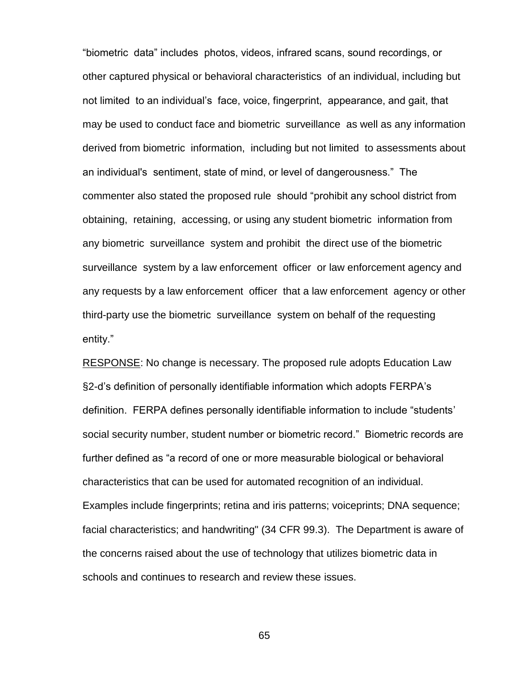"biometric data" includes photos, videos, infrared scans, sound recordings, or other captured physical or behavioral characteristics of an individual, including but not limited to an individual's face, voice, fingerprint, appearance, and gait, that may be used to conduct face and biometric surveillance as well as any information derived from biometric information, including but not limited to assessments about an individual's sentiment, state of mind, or level of dangerousness." The commenter also stated the proposed rule should "prohibit any school district from obtaining, retaining, accessing, or using any student biometric information from any biometric surveillance system and prohibit the direct use of the biometric surveillance system by a law enforcement officer or law enforcement agency and any requests by a law enforcement officer that a law enforcement agency or other third-party use the biometric surveillance system on behalf of the requesting entity."

RESPONSE: No change is necessary. The proposed rule adopts Education Law §2-d's definition of personally identifiable information which adopts FERPA's definition. FERPA defines personally identifiable information to include "students' social security number, student number or biometric record." Biometric records are further defined as "a record of one or more measurable biological or behavioral characteristics that can be used for automated recognition of an individual. Examples include fingerprints; retina and iris patterns; voiceprints; DNA sequence; facial characteristics; and handwriting" (34 CFR 99.3). The Department is aware of the concerns raised about the use of technology that utilizes biometric data in schools and continues to research and review these issues.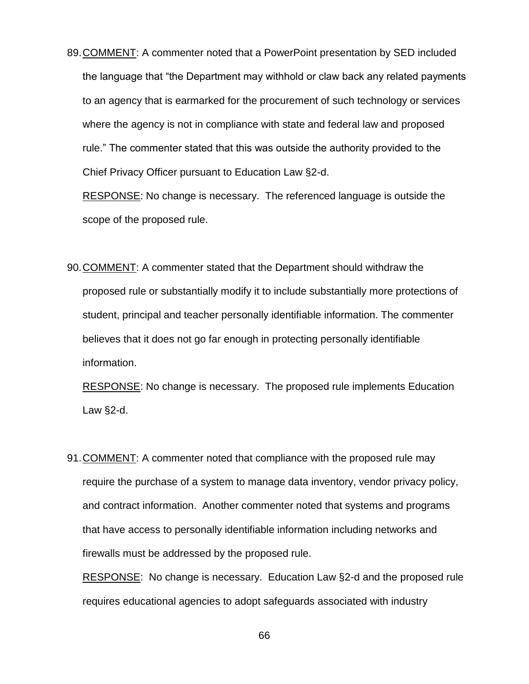89.COMMENT: A commenter noted that a PowerPoint presentation by SED included the language that "the Department may withhold or claw back any related payments to an agency that is earmarked for the procurement of such technology or services where the agency is not in compliance with state and federal law and proposed rule." The commenter stated that this was outside the authority provided to the Chief Privacy Officer pursuant to Education Law §2-d.

RESPONSE: No change is necessary. The referenced language is outside the scope of the proposed rule.

90.COMMENT: A commenter stated that the Department should withdraw the proposed rule or substantially modify it to include substantially more protections of student, principal and teacher personally identifiable information. The commenter believes that it does not go far enough in protecting personally identifiable information.

RESPONSE: No change is necessary. The proposed rule implements Education Law §2-d.

91.COMMENT: A commenter noted that compliance with the proposed rule may require the purchase of a system to manage data inventory, vendor privacy policy, and contract information. Another commenter noted that systems and programs that have access to personally identifiable information including networks and firewalls must be addressed by the proposed rule.

RESPONSE: No change is necessary. Education Law §2-d and the proposed rule requires educational agencies to adopt safeguards associated with industry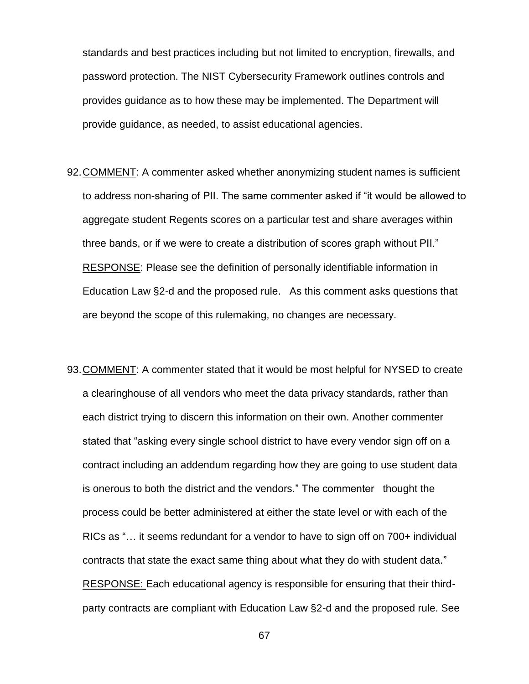standards and best practices including but not limited to encryption, firewalls, and password protection. The NIST Cybersecurity Framework outlines controls and provides guidance as to how these may be implemented. The Department will provide guidance, as needed, to assist educational agencies.

- 92.COMMENT: A commenter asked whether anonymizing student names is sufficient to address non-sharing of PII. The same commenter asked if "it would be allowed to aggregate student Regents scores on a particular test and share averages within three bands, or if we were to create a distribution of scores graph without PII." RESPONSE: Please see the definition of personally identifiable information in Education Law §2-d and the proposed rule. As this comment asks questions that are beyond the scope of this rulemaking, no changes are necessary.
- 93.COMMENT: A commenter stated that it would be most helpful for NYSED to create a clearinghouse of all vendors who meet the data privacy standards, rather than each district trying to discern this information on their own. Another commenter stated that "asking every single school district to have every vendor sign off on a contract including an addendum regarding how they are going to use student data is onerous to both the district and the vendors." The commenter thought the process could be better administered at either the state level or with each of the RICs as "… it seems redundant for a vendor to have to sign off on 700+ individual contracts that state the exact same thing about what they do with student data." RESPONSE: Each educational agency is responsible for ensuring that their thirdparty contracts are compliant with Education Law §2-d and the proposed rule. See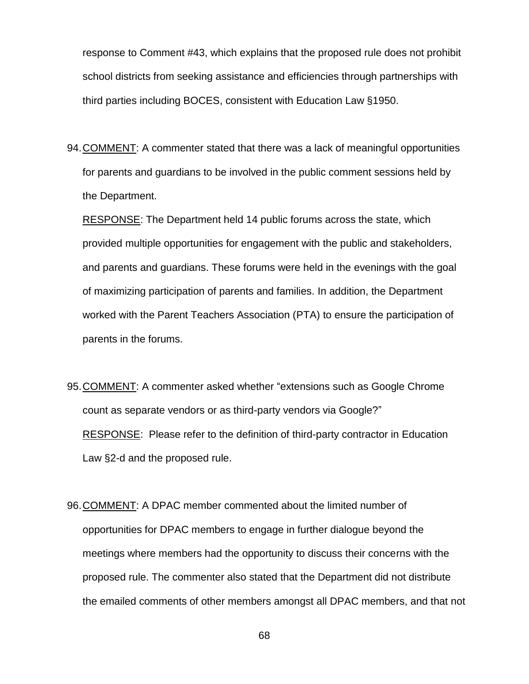response to Comment #43, which explains that the proposed rule does not prohibit school districts from seeking assistance and efficiencies through partnerships with third parties including BOCES, consistent with Education Law §1950.

94.COMMENT: A commenter stated that there was a lack of meaningful opportunities for parents and guardians to be involved in the public comment sessions held by the Department.

RESPONSE: The Department held 14 public forums across the state, which provided multiple opportunities for engagement with the public and stakeholders, and parents and guardians. These forums were held in the evenings with the goal of maximizing participation of parents and families. In addition, the Department worked with the Parent Teachers Association (PTA) to ensure the participation of parents in the forums.

- 95.COMMENT: A commenter asked whether "extensions such as Google Chrome count as separate vendors or as third-party vendors via Google?" RESPONSE: Please refer to the definition of third-party contractor in Education Law §2-d and the proposed rule.
- 96.COMMENT: A DPAC member commented about the limited number of opportunities for DPAC members to engage in further dialogue beyond the meetings where members had the opportunity to discuss their concerns with the proposed rule. The commenter also stated that the Department did not distribute the emailed comments of other members amongst all DPAC members, and that not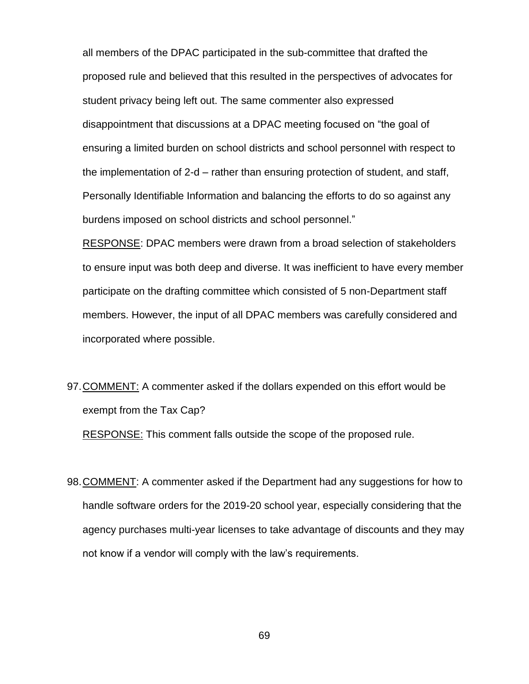all members of the DPAC participated in the sub-committee that drafted the proposed rule and believed that this resulted in the perspectives of advocates for student privacy being left out. The same commenter also expressed disappointment that discussions at a DPAC meeting focused on "the goal of ensuring a limited burden on school districts and school personnel with respect to the implementation of 2-d – rather than ensuring protection of student, and staff, Personally Identifiable Information and balancing the efforts to do so against any burdens imposed on school districts and school personnel."

RESPONSE: DPAC members were drawn from a broad selection of stakeholders to ensure input was both deep and diverse. It was inefficient to have every member participate on the drafting committee which consisted of 5 non-Department staff members. However, the input of all DPAC members was carefully considered and incorporated where possible.

97.COMMENT: A commenter asked if the dollars expended on this effort would be exempt from the Tax Cap?

RESPONSE: This comment falls outside the scope of the proposed rule.

98.COMMENT: A commenter asked if the Department had any suggestions for how to handle software orders for the 2019-20 school year, especially considering that the agency purchases multi-year licenses to take advantage of discounts and they may not know if a vendor will comply with the law's requirements.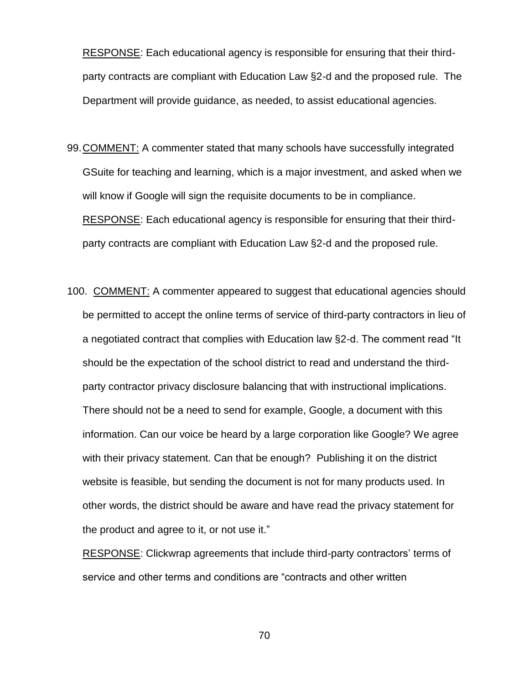RESPONSE: Each educational agency is responsible for ensuring that their thirdparty contracts are compliant with Education Law §2-d and the proposed rule. The Department will provide guidance, as needed, to assist educational agencies.

- 99.COMMENT: A commenter stated that many schools have successfully integrated GSuite for teaching and learning, which is a major investment, and asked when we will know if Google will sign the requisite documents to be in compliance. RESPONSE: Each educational agency is responsible for ensuring that their thirdparty contracts are compliant with Education Law §2-d and the proposed rule.
- 100. COMMENT: A commenter appeared to suggest that educational agencies should be permitted to accept the online terms of service of third-party contractors in lieu of a negotiated contract that complies with Education law §2-d. The comment read "It should be the expectation of the school district to read and understand the thirdparty contractor privacy disclosure balancing that with instructional implications. There should not be a need to send for example, Google, a document with this information. Can our voice be heard by a large corporation like Google? We agree with their privacy statement. Can that be enough? Publishing it on the district website is feasible, but sending the document is not for many products used. In other words, the district should be aware and have read the privacy statement for the product and agree to it, or not use it."

RESPONSE: Clickwrap agreements that include third-party contractors' terms of service and other terms and conditions are "contracts and other written